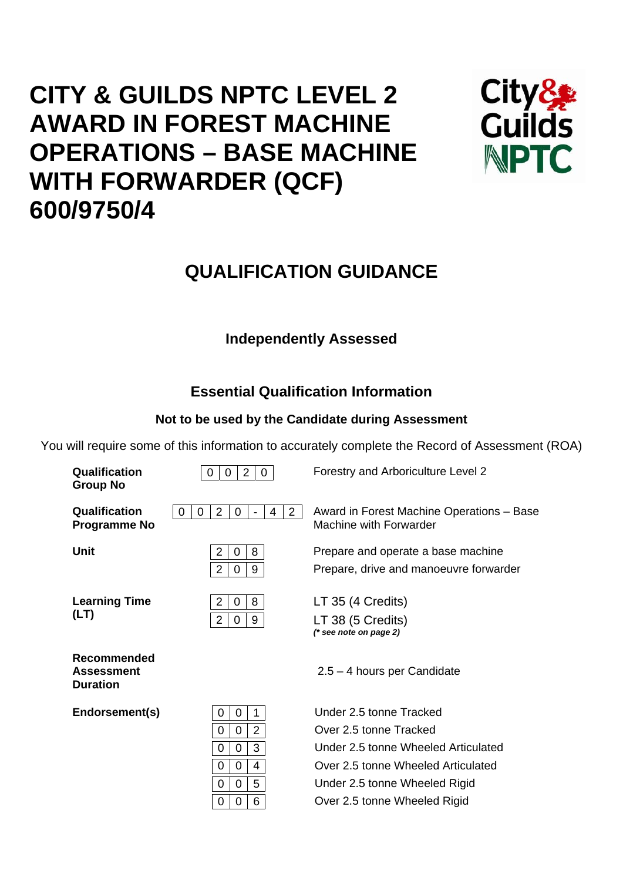# **CITY & GUILDS NPTC LEVEL 2 AWARD IN FOREST MACHINE OPERATIONS – BASE MACHINE WITH FORWARDER (QCF) 600/9750/4**



## **QUALIFICATION GUIDANCE**

## **Independently Assessed**

## **Essential Qualification Information**

## **Not to be used by the Candidate during Assessment**

You will require some of this information to accurately complete the Record of Assessment (ROA)

| Qualification<br><b>Group No</b>                           | $\overline{2}$<br>0<br>0<br>$\mathbf{0}$ | Forestry and Arboriculture Level 2                                           |
|------------------------------------------------------------|------------------------------------------|------------------------------------------------------------------------------|
| Qualification<br><b>Programme No</b>                       | $\overline{2}$<br>2<br>0<br>0<br>0<br>4  | Award in Forest Machine Operations - Base<br>Machine with Forwarder          |
| Unit                                                       | 2<br>8<br>0<br>$\overline{2}$<br>9<br>0  | Prepare and operate a base machine<br>Prepare, drive and manoeuvre forwarder |
| <b>Learning Time</b><br>(LT)                               | 2<br>8<br>0<br>$\overline{2}$<br>9<br>0  | LT 35 (4 Credits)<br>LT 38 (5 Credits)<br>$(*$ see note on page 2)           |
| <b>Recommended</b><br><b>Assessment</b><br><b>Duration</b> |                                          | $2.5 - 4$ hours per Candidate                                                |
| Endorsement(s)                                             | 1<br>0<br>0                              | Under 2.5 tonne Tracked                                                      |
|                                                            | $\overline{2}$<br>0<br>0                 | Over 2.5 tonne Tracked                                                       |
|                                                            | 3<br>0<br>0                              | Under 2.5 tonne Wheeled Articulated                                          |
|                                                            | 0<br>4<br>0                              | Over 2.5 tonne Wheeled Articulated                                           |
|                                                            | 5<br>0<br>0                              | Under 2.5 tonne Wheeled Rigid                                                |
|                                                            | 6<br>0<br>0                              | Over 2.5 tonne Wheeled Rigid                                                 |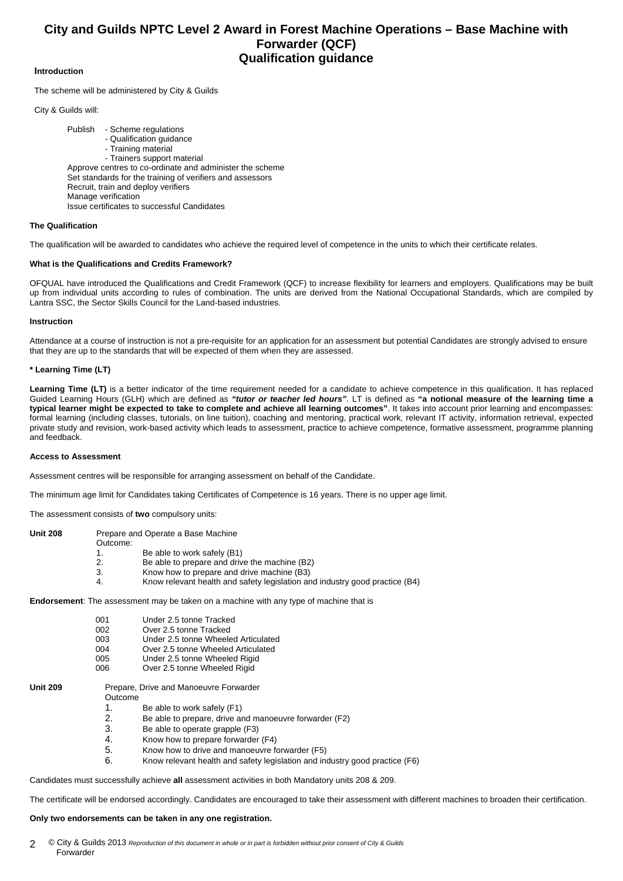### **City and Guilds NPTC Level 2 Award in Forest Machine Operations – Base Machine with Forwarder (QCF) Qualification guidance**

#### **Introduction**

The scheme will be administered by City & Guilds

City & Guilds will:

Publish - Scheme regulations - Qualification guidance - Training material - Trainers support material Approve centres to co-ordinate and administer the scheme Set standards for the training of verifiers and assessors Recruit, train and deploy verifiers Manage verification Issue certificates to successful Candidates

#### **The Qualification**

The qualification will be awarded to candidates who achieve the required level of competence in the units to which their certificate relates.

#### **What is the Qualifications and Credits Framework?**

OFQUAL have introduced the Qualifications and Credit Framework (QCF) to increase flexibility for learners and employers. Qualifications may be built up from individual units according to rules of combination. The units are derived from the National Occupational Standards, which are compiled by Lantra SSC, the Sector Skills Council for the Land-based industries.

#### **Instruction**

Attendance at a course of instruction is not a pre-requisite for an application for an assessment but potential Candidates are strongly advised to ensure that they are up to the standards that will be expected of them when they are assessed.

#### **\* Learning Time (LT)**

Learning Time (LT) is a better indicator of the time requirement needed for a candidate to achieve competence in this qualification. It has replaced Guided Learning Hours (GLH) which are defined as *"tutor or teacher led hours"*. LT is defined as **"a notional measure of the learning time a typical learner might be expected to take to complete and achieve all learning outcomes"**. It takes into account prior learning and encompasses: formal learning (including classes, tutorials, on line tuition), coaching and mentoring, practical work, relevant IT activity, information retrieval, expected private study and revision, work-based activity which leads to assessment, practice to achieve competence, formative assessment, programme planning and feedback.

#### **Access to Assessment**

Assessment centres will be responsible for arranging assessment on behalf of the Candidate.

The minimum age limit for Candidates taking Certificates of Competence is 16 years. There is no upper age limit.

The assessment consists of **two** compulsory units:

| <b>Unit 208</b> |          | Prepare and Operate a Base Machine                                          |
|-----------------|----------|-----------------------------------------------------------------------------|
|                 | Outcome: |                                                                             |
|                 |          | Be able to work safely (B1)                                                 |
|                 | 2.       | Be able to prepare and drive the machine (B2)                               |
|                 | 3.       | Know how to prepare and drive machine (B3)                                  |
|                 | 4.       | Know relevant health and safety legislation and industry good practice (B4) |
|                 |          |                                                                             |

**Endorsement**: The assessment may be taken on a machine with any type of machine that is

| 001 | Under 2.5 tonne Tracked             |
|-----|-------------------------------------|
| 002 | Over 2.5 tonne Tracked              |
| 003 | Under 2.5 tonne Wheeled Articulated |
| 004 | Over 2.5 tonne Wheeled Articulated  |

- 005 Under 2.5 tonne Wheeled Rigid
- 006 Over 2.5 tonne Wheeled Rigid

**Unit 209** Prepare, Drive and Manoeuvre Forwarder

Outcome

- 1. Be able to work safely  $(F1)$ <br>2 Be able to prepare drive an
	- Be able to prepare, drive and manoeuvre forwarder (F2)
- 3. Be able to operate grapple (F3)
- 4. Know how to prepare forwarder (F4)
- 5. Know how to drive and manoeuvre forwarder (F5)
- 6. Know relevant health and safety legislation and industry good practice (F6)

Candidates must successfully achieve **all** assessment activities in both Mandatory units 208 & 209.

The certificate will be endorsed accordingly. Candidates are encouraged to take their assessment with different machines to broaden their certification.

#### **Only two endorsements can be taken in any one registration.**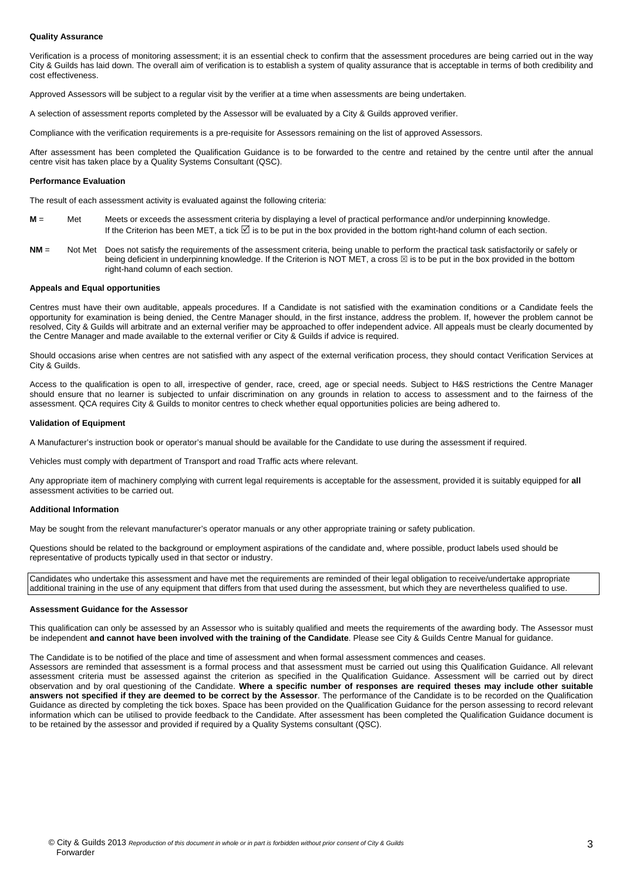#### **Quality Assurance**

Verification is a process of monitoring assessment; it is an essential check to confirm that the assessment procedures are being carried out in the way City & Guilds has laid down. The overall aim of verification is to establish a system of quality assurance that is acceptable in terms of both credibility and cost effectiveness.

Approved Assessors will be subject to a regular visit by the verifier at a time when assessments are being undertaken.

A selection of assessment reports completed by the Assessor will be evaluated by a City & Guilds approved verifier.

Compliance with the verification requirements is a pre-requisite for Assessors remaining on the list of approved Assessors.

After assessment has been completed the Qualification Guidance is to be forwarded to the centre and retained by the centre until after the annual centre visit has taken place by a Quality Systems Consultant (QSC).

#### **Performance Evaluation**

The result of each assessment activity is evaluated against the following criteria:

- **M** = Met Meets or exceeds the assessment criteria by displaying a level of practical performance and/or underpinning knowledge. If the Criterion has been MET, a tick  $\boxtimes$  is to be put in the box provided in the bottom right-hand column of each section.
- **NM** = Not Met Does not satisfy the requirements of the assessment criteria, being unable to perform the practical task satisfactorily or safely or being deficient in underpinning knowledge. If the Criterion is NOT MET, a cross  $\boxtimes$  is to be put in the box provided in the bottom right-hand column of each section.

#### **Appeals and Equal opportunities**

Centres must have their own auditable, appeals procedures. If a Candidate is not satisfied with the examination conditions or a Candidate feels the opportunity for examination is being denied, the Centre Manager should, in the first instance, address the problem. If, however the problem cannot be resolved, City & Guilds will arbitrate and an external verifier may be approached to offer independent advice. All appeals must be clearly documented by the Centre Manager and made available to the external verifier or City & Guilds if advice is required.

Should occasions arise when centres are not satisfied with any aspect of the external verification process, they should contact Verification Services at City & Guilds.

Access to the qualification is open to all, irrespective of gender, race, creed, age or special needs. Subject to H&S restrictions the Centre Manager should ensure that no learner is subjected to unfair discrimination on any grounds in relation to access to assessment and to the fairness of the assessment. QCA requires City & Guilds to monitor centres to check whether equal opportunities policies are being adhered to.

#### **Validation of Equipment**

A Manufacturer's instruction book or operator's manual should be available for the Candidate to use during the assessment if required.

Vehicles must comply with department of Transport and road Traffic acts where relevant.

Any appropriate item of machinery complying with current legal requirements is acceptable for the assessment, provided it is suitably equipped for **all** assessment activities to be carried out.

#### **Additional Information**

May be sought from the relevant manufacturer's operator manuals or any other appropriate training or safety publication.

Questions should be related to the background or employment aspirations of the candidate and, where possible, product labels used should be representative of products typically used in that sector or industry.

Candidates who undertake this assessment and have met the requirements are reminded of their legal obligation to receive/undertake appropriate additional training in the use of any equipment that differs from that used during the assessment, but which they are nevertheless qualified to use.

#### **Assessment Guidance for the Assessor**

This qualification can only be assessed by an Assessor who is suitably qualified and meets the requirements of the awarding body. The Assessor must be independent **and cannot have been involved with the training of the Candidate**. Please see City & Guilds Centre Manual for guidance.

The Candidate is to be notified of the place and time of assessment and when formal assessment commences and ceases.

Assessors are reminded that assessment is a formal process and that assessment must be carried out using this Qualification Guidance. All relevant assessment criteria must be assessed against the criterion as specified in the Qualification Guidance. Assessment will be carried out by direct observation and by oral questioning of the Candidate. **Where a specific number of responses are required theses may include other suitable answers not specified if they are deemed to be correct by the Assessor**. The performance of the Candidate is to be recorded on the Qualification Guidance as directed by completing the tick boxes. Space has been provided on the Qualification Guidance for the person assessing to record relevant information which can be utilised to provide feedback to the Candidate. After assessment has been completed the Qualification Guidance document is to be retained by the assessor and provided if required by a Quality Systems consultant (QSC).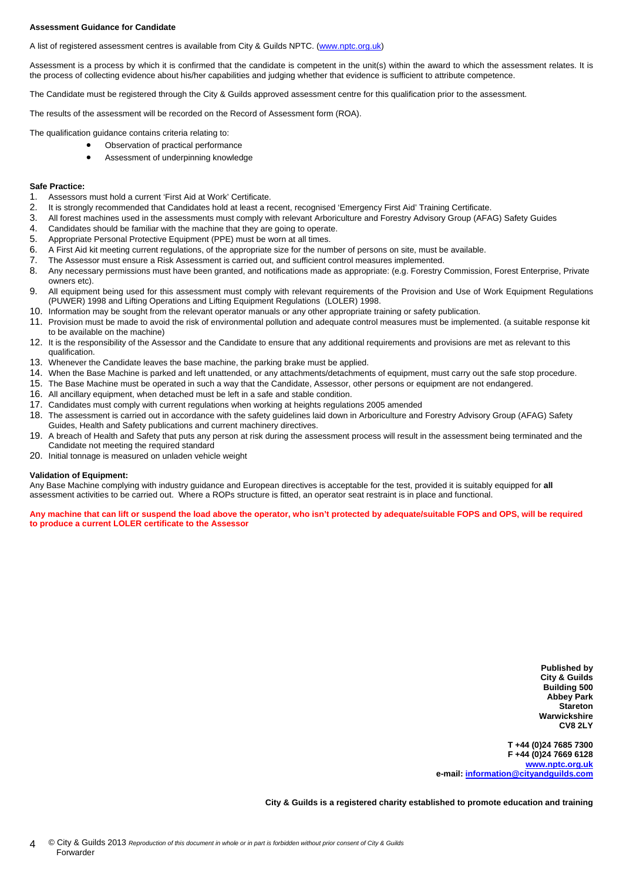#### **Assessment Guidance for Candidate**

A list of registered assessment centres is available from City & Guilds NPTC. [\(www.nptc.org.uk](http://www.nptc.org.uk/))

Assessment is a process by which it is confirmed that the candidate is competent in the unit(s) within the award to which the assessment relates. It is the process of collecting evidence about his/her capabilities and judging whether that evidence is sufficient to attribute competence.

The Candidate must be registered through the City & Guilds approved assessment centre for this qualification prior to the assessment.

The results of the assessment will be recorded on the Record of Assessment form (ROA).

The qualification guidance contains criteria relating to:

- Observation of practical performance
- Assessment of underpinning knowledge

#### **Safe Practice:**

- 1. Assessors must hold a current 'First Aid at Work' Certificate.
- 2. It is strongly recommended that Candidates hold at least a recent, recognised 'Emergency First Aid' Training Certificate.
- 3. All forest machines used in the assessments must comply with relevant Arboriculture and Forestry Advisory Group (AFAG) Safety Guides
- 4. Candidates should be familiar with the machine that they are going to operate.
- 5. Appropriate Personal Protective Equipment (PPE) must be worn at all times.
- 6. A First Aid kit meeting current regulations, of the appropriate size for the number of persons on site, must be available.
- 7. The Assessor must ensure a Risk Assessment is carried out, and sufficient control measures implemented.<br>8. Any necessary permissions must have been granted, and notifications made as appropriate: (e.g. Forestry)
- 8. Any necessary permissions must have been granted, and notifications made as appropriate: (e.g. Forestry Commission, Forest Enterprise, Private owners etc).
- 9. All equipment being used for this assessment must comply with relevant requirements of the Provision and Use of Work Equipment Regulations (PUWER) 1998 and Lifting Operations and Lifting Equipment Regulations (LOLER) 1998.
- 10. Information may be sought from the relevant operator manuals or any other appropriate training or safety publication.
- 11. Provision must be made to avoid the risk of environmental pollution and adequate control measures must be implemented. (a suitable response kit to be available on the machine)
- 12. It is the responsibility of the Assessor and the Candidate to ensure that any additional requirements and provisions are met as relevant to this qualification.
- 13. Whenever the Candidate leaves the base machine, the parking brake must be applied.
- 14. When the Base Machine is parked and left unattended, or any attachments/detachments of equipment, must carry out the safe stop procedure.
- 15. The Base Machine must be operated in such a way that the Candidate, Assessor, other persons or equipment are not endangered.
- 16. All ancillary equipment, when detached must be left in a safe and stable condition.
- 17. Candidates must comply with current regulations when working at heights regulations 2005 amended
- 18. The assessment is carried out in accordance with the safety guidelines laid down in Arboriculture and Forestry Advisory Group (AFAG) Safety Guides, Health and Safety publications and current machinery directives.
- 19. A breach of Health and Safety that puts any person at risk during the assessment process will result in the assessment being terminated and the Candidate not meeting the required standard
- 20. Initial tonnage is measured on unladen vehicle weight

#### **Validation of Equipment:**

Any Base Machine complying with industry guidance and European directives is acceptable for the test, provided it is suitably equipped for **all** assessment activities to be carried out. Where a ROPs structure is fitted, an operator seat restraint is in place and functional.

**Any machine that can lift or suspend the load above the operator, who isn't protected by adequate/suitable FOPS and OPS, will be required to produce a current LOLER certificate to the Assessor** 

> **Published by City & Guilds Building 500 Abbey Park Stareton Warwickshire CV8 2LY**

**T +44 (0)24 7685 7300 F +44 (0)24 7669 6128 [www.nptc.org.uk](http://www.nptc.org.uk/) e-mail: [information@cityandguilds.com](mailto:information@cityandguilds.com)**

**City & Guilds is a registered charity established to promote education and training**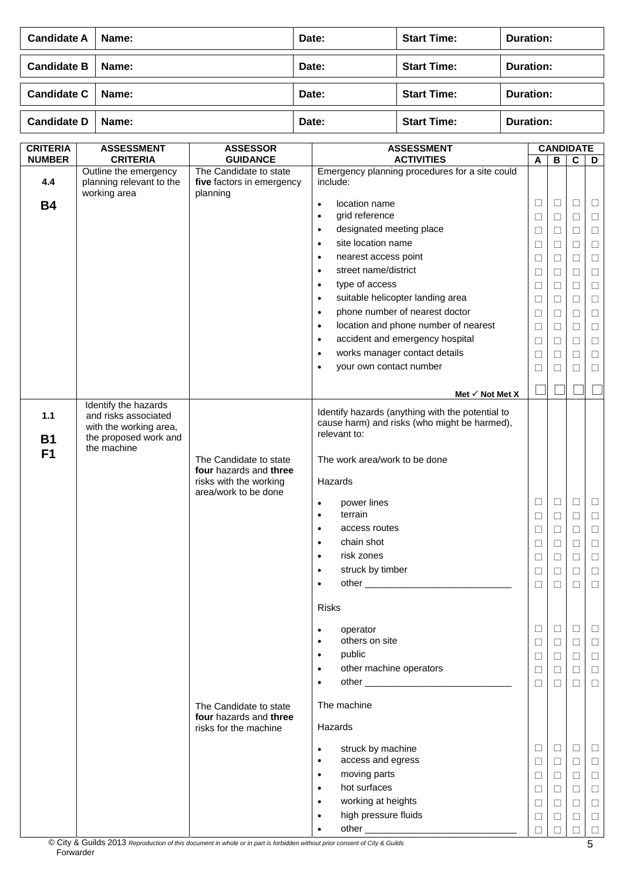| <b>Candidate A</b>  | Name: | Date: | <b>Start Time:</b> | Duration: |
|---------------------|-------|-------|--------------------|-----------|
| <b>Candidate B</b>  | Name: | Date: | <b>Start Time:</b> | Duration: |
| Candidate C   Name: |       | Date: | <b>Start Time:</b> | Duration: |
| Candidate D         | Name: | Date: | <b>Start Time:</b> | Duration: |

| <b>CRITERIA</b><br><b>NUMBER</b> | <b>ASSESSMENT</b><br><b>CRITERIA</b> | <b>ASSESSOR</b><br><b>GUIDANCE</b>             | <b>ASSESSMENT</b><br><b>ACTIVITIES</b>                       |        | В      | <b>CANDIDATE</b> |        |
|----------------------------------|--------------------------------------|------------------------------------------------|--------------------------------------------------------------|--------|--------|------------------|--------|
|                                  | Outline the emergency                | The Candidate to state                         | Emergency planning procedures for a site could               | A      |        | C                | D      |
| 4.4                              | planning relevant to the             | five factors in emergency                      | include:                                                     |        |        |                  |        |
| <b>B4</b>                        | working area                         | planning                                       | location name<br>$\bullet$                                   | $\Box$ | $\Box$ | $\Box$           | □      |
|                                  |                                      |                                                | grid reference<br>$\bullet$                                  | $\Box$ | □      | $\Box$           | $\Box$ |
|                                  |                                      |                                                | designated meeting place<br>$\bullet$                        | $\Box$ | $\Box$ | $\Box$           | $\Box$ |
|                                  |                                      |                                                | site location name<br>$\bullet$                              | $\Box$ | $\Box$ | $\Box$           | $\Box$ |
|                                  |                                      |                                                | nearest access point<br>$\bullet$                            | $\Box$ | $\Box$ | $\Box$           | $\Box$ |
|                                  |                                      |                                                | street name/district<br>$\bullet$                            | $\Box$ | $\Box$ | $\Box$           | $\Box$ |
|                                  |                                      |                                                | type of access<br>$\bullet$                                  | $\Box$ | $\Box$ | $\Box$           | $\Box$ |
|                                  |                                      |                                                | suitable helicopter landing area<br>$\bullet$                | $\Box$ | □      | $\Box$           | $\Box$ |
|                                  |                                      |                                                | phone number of nearest doctor<br>$\bullet$                  | $\Box$ | $\Box$ | $\Box$           | $\Box$ |
|                                  |                                      |                                                | location and phone number of nearest<br>$\bullet$            | $\Box$ | $\Box$ | $\Box$           | $\Box$ |
|                                  |                                      |                                                | accident and emergency hospital<br>$\bullet$                 | $\Box$ | $\Box$ | $\Box$           | $\Box$ |
|                                  |                                      |                                                | works manager contact details<br>$\bullet$                   | $\Box$ | □      | $\Box$           | $\Box$ |
|                                  |                                      |                                                | your own contact number<br>$\bullet$                         | □      | ⊔      | □                | □      |
|                                  |                                      |                                                |                                                              |        |        |                  |        |
|                                  | Identify the hazards                 |                                                | Met $\checkmark$ Not Met X                                   |        |        |                  |        |
| $1.1$                            | and risks associated                 |                                                | Identify hazards (anything with the potential to             |        |        |                  |        |
|                                  | with the working area,               |                                                | cause harm) and risks (who might be harmed),<br>relevant to: |        |        |                  |        |
| <b>B1</b>                        | the proposed work and<br>the machine |                                                |                                                              |        |        |                  |        |
| F <sub>1</sub>                   |                                      | The Candidate to state                         | The work area/work to be done                                |        |        |                  |        |
|                                  |                                      | four hazards and three                         |                                                              |        |        |                  |        |
|                                  |                                      | risks with the working<br>area/work to be done | Hazards                                                      |        |        |                  |        |
|                                  |                                      |                                                | power lines<br>$\bullet$                                     | $\Box$ | $\Box$ | $\Box$           | $\Box$ |
|                                  |                                      |                                                | terrain<br>$\bullet$                                         | $\Box$ | ⊔      | $\Box$           | □      |
|                                  |                                      |                                                | access routes<br>$\bullet$                                   | $\Box$ | $\Box$ | $\Box$           | $\Box$ |
|                                  |                                      |                                                | chain shot<br>$\bullet$                                      | $\Box$ | □      | $\Box$           | $\Box$ |
|                                  |                                      |                                                | risk zones<br>$\bullet$                                      | $\Box$ | $\Box$ | $\Box$           | $\Box$ |
|                                  |                                      |                                                | struck by timber<br>$\bullet$                                | $\Box$ | $\Box$ | $\Box$           | $\Box$ |
|                                  |                                      |                                                | other_                                                       | □      | ⊔      | $\Box$           | $\Box$ |
|                                  |                                      |                                                | <b>Risks</b>                                                 |        |        |                  |        |
|                                  |                                      |                                                |                                                              |        |        |                  |        |
|                                  |                                      |                                                | operator<br>$\bullet$                                        | □      | $\Box$ | □                | ⊔      |
|                                  |                                      |                                                | others on site<br>$\bullet$                                  | $\Box$ | □      | $\Box$           | $\Box$ |
|                                  |                                      |                                                | public<br>$\bullet$                                          | $\Box$ | $\Box$ | □                | $\Box$ |
|                                  |                                      |                                                | other machine operators<br>$\bullet$                         | $\Box$ | □      | $\Box$           | $\Box$ |
|                                  |                                      |                                                | $\bullet$                                                    | $\Box$ | $\Box$ | $\Box$           | $\Box$ |
|                                  |                                      | The Candidate to state                         | The machine                                                  |        |        |                  |        |
|                                  |                                      | four hazards and three                         |                                                              |        |        |                  |        |
|                                  |                                      | risks for the machine                          | Hazards                                                      |        |        |                  |        |
|                                  |                                      |                                                | struck by machine<br>$\bullet$                               | ⊔      | Ш      | ⊔                | ப      |
|                                  |                                      |                                                | access and egress<br>$\bullet$                               | $\Box$ | □      | $\Box$           | $\Box$ |
|                                  |                                      |                                                | moving parts<br>$\bullet$                                    | □      | ⊔      | □                | $\Box$ |
|                                  |                                      |                                                | hot surfaces<br>$\bullet$                                    | $\Box$ | □      | $\Box$           | $\Box$ |
|                                  |                                      |                                                | working at heights<br>$\bullet$                              | $\Box$ | □      | $\Box$           | $\Box$ |
|                                  |                                      |                                                | high pressure fluids<br>٠                                    | □      | ப      | □                | $\Box$ |
|                                  |                                      |                                                |                                                              | П      |        | П                | $\Box$ |

© City & Guilds 2013 *Reproduction of this document in whole or in part is forbidden without prior consent of City & Guilds*  Forwarder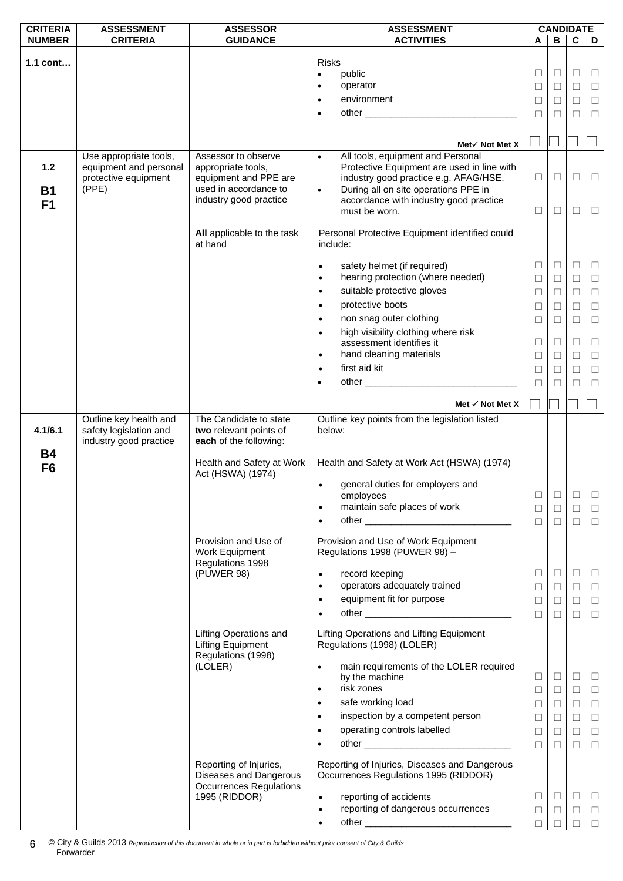| <b>CRITERIA</b>             | <b>ASSESSMENT</b>                                | <b>ASSESSOR</b>                                                                 | <b>ASSESSMENT</b>                                                                      |        | <b>CANDIDATE</b> |             |        |
|-----------------------------|--------------------------------------------------|---------------------------------------------------------------------------------|----------------------------------------------------------------------------------------|--------|------------------|-------------|--------|
| <b>NUMBER</b>               | <b>CRITERIA</b>                                  | <b>GUIDANCE</b>                                                                 | <b>ACTIVITIES</b>                                                                      | A      | В                | $\mathbf c$ | D      |
|                             |                                                  |                                                                                 |                                                                                        |        |                  |             |        |
| $1.1$ cont                  |                                                  |                                                                                 | <b>Risks</b>                                                                           | $\Box$ | $\Box$           | $\Box$      | $\Box$ |
|                             |                                                  |                                                                                 | public<br>$\bullet$<br>operator<br>$\bullet$                                           |        |                  |             |        |
|                             |                                                  |                                                                                 |                                                                                        | □      | $\Box$           | $\Box$      | $\Box$ |
|                             |                                                  |                                                                                 | environment<br>$\bullet$                                                               | $\Box$ | □                | $\Box$      | $\Box$ |
|                             |                                                  |                                                                                 | $\bullet$                                                                              | $\Box$ | □                | □           | $\Box$ |
|                             |                                                  |                                                                                 |                                                                                        |        |                  |             |        |
|                             |                                                  |                                                                                 | Met $\checkmark$ Not Met X                                                             |        |                  |             |        |
|                             | Use appropriate tools,                           | Assessor to observe                                                             | All tools, equipment and Personal<br>$\bullet$                                         |        |                  |             |        |
| 1.2                         | equipment and personal                           | appropriate tools,                                                              | Protective Equipment are used in line with                                             |        |                  |             |        |
|                             | protective equipment                             | equipment and PPE are                                                           | industry good practice e.g. AFAG/HSE.                                                  | $\Box$ | □                | □           | $\Box$ |
| <b>B1</b>                   | (PPE)                                            | used in accordance to                                                           | During all on site operations PPE in<br>$\bullet$                                      |        |                  |             |        |
| F <sub>1</sub>              |                                                  | industry good practice                                                          | accordance with industry good practice                                                 |        |                  |             |        |
|                             |                                                  |                                                                                 | must be worn.                                                                          | $\Box$ | □                | $\Box$      | $\Box$ |
|                             |                                                  |                                                                                 |                                                                                        |        |                  |             |        |
|                             |                                                  | All applicable to the task                                                      | Personal Protective Equipment identified could                                         |        |                  |             |        |
|                             |                                                  | at hand                                                                         | include:                                                                               |        |                  |             |        |
|                             |                                                  |                                                                                 | safety helmet (if required)<br>$\bullet$                                               | $\Box$ | $\Box$           | $\Box$      | $\Box$ |
|                             |                                                  |                                                                                 | hearing protection (where needed)<br>$\bullet$                                         |        |                  |             |        |
|                             |                                                  |                                                                                 |                                                                                        | □      | $\Box$           | $\Box$      | $\Box$ |
|                             |                                                  |                                                                                 | suitable protective gloves<br>$\bullet$                                                | $\Box$ | $\Box$           | $\Box$      | $\Box$ |
|                             |                                                  |                                                                                 | protective boots<br>$\bullet$                                                          | □      | □                | $\Box$      | $\Box$ |
|                             |                                                  |                                                                                 | non snag outer clothing<br>$\bullet$                                                   | $\Box$ | $\Box$           | $\Box$      | $\Box$ |
|                             |                                                  |                                                                                 | high visibility clothing where risk<br>$\bullet$                                       |        |                  |             |        |
|                             |                                                  |                                                                                 | assessment identifies it                                                               | $\Box$ | □                | $\Box$      | $\Box$ |
|                             |                                                  |                                                                                 | hand cleaning materials<br>$\bullet$                                                   | □      | □                | $\Box$      | $\Box$ |
|                             |                                                  |                                                                                 | first aid kit<br>$\bullet$                                                             | ⊔      | □                | $\Box$      | $\Box$ |
|                             |                                                  |                                                                                 |                                                                                        | $\Box$ | □                | $\Box$      | $\Box$ |
|                             |                                                  |                                                                                 |                                                                                        |        |                  |             |        |
|                             |                                                  |                                                                                 | Met $\checkmark$ Not Met X                                                             |        |                  |             |        |
|                             | Outline key health and                           | The Candidate to state                                                          | Outline key points from the legislation listed                                         |        |                  |             |        |
| 4.1/6.1                     | safety legislation and<br>industry good practice | two relevant points of<br>each of the following:                                | below:                                                                                 |        |                  |             |        |
| <b>B4</b><br>F <sub>6</sub> |                                                  | Health and Safety at Work                                                       | Health and Safety at Work Act (HSWA) (1974)                                            |        |                  |             |        |
|                             |                                                  | Act (HSWA) (1974)                                                               |                                                                                        |        |                  |             |        |
|                             |                                                  |                                                                                 | general duties for employers and<br>$\bullet$<br>employees                             | $\Box$ | $\Box$           | $\Box$      | $\Box$ |
|                             |                                                  |                                                                                 | maintain safe places of work<br>$\bullet$                                              | $\Box$ | $\Box$           | $\Box$      | $\Box$ |
|                             |                                                  |                                                                                 | $\bullet$                                                                              | $\Box$ | $\Box$           | $\Box$      |        |
|                             |                                                  |                                                                                 |                                                                                        |        |                  |             | $\Box$ |
|                             |                                                  | Provision and Use of<br>Work Equipment                                          | Provision and Use of Work Equipment<br>Regulations 1998 (PUWER 98) -                   |        |                  |             |        |
|                             |                                                  | Regulations 1998                                                                |                                                                                        | □      | $\Box$           | $\Box$      | $\Box$ |
|                             |                                                  | (PUWER 98)                                                                      | record keeping<br>$\bullet$<br>operators adequately trained<br>$\bullet$               | $\Box$ | $\Box$           | $\Box$      |        |
|                             |                                                  |                                                                                 |                                                                                        |        |                  |             | $\Box$ |
|                             |                                                  |                                                                                 | equipment fit for purpose<br>$\bullet$                                                 | $\Box$ | $\Box$           | $\Box$      | $\Box$ |
|                             |                                                  |                                                                                 | $\bullet$                                                                              | $\Box$ | П                | $\Box$      | $\Box$ |
|                             |                                                  | <b>Lifting Operations and</b><br><b>Lifting Equipment</b><br>Regulations (1998) | Lifting Operations and Lifting Equipment<br>Regulations (1998) (LOLER)                 |        |                  |             |        |
|                             |                                                  | (LOLER)                                                                         | main requirements of the LOLER required<br>$\bullet$                                   |        |                  |             |        |
|                             |                                                  |                                                                                 | by the machine                                                                         | □      | $\Box$           | $\Box$      | ⊔      |
|                             |                                                  |                                                                                 | risk zones<br>$\bullet$                                                                | □      | $\Box$           | $\Box$      | $\Box$ |
|                             |                                                  |                                                                                 | safe working load<br>$\bullet$                                                         | $\Box$ | $\Box$           | $\Box$      | $\Box$ |
|                             |                                                  |                                                                                 | inspection by a competent person<br>$\bullet$                                          | $\Box$ | □                | $\Box$      | $\Box$ |
|                             |                                                  |                                                                                 | operating controls labelled<br>$\bullet$                                               |        |                  |             |        |
|                             |                                                  |                                                                                 |                                                                                        | $\Box$ | $\Box$           | $\Box$      | $\Box$ |
|                             |                                                  |                                                                                 |                                                                                        | $\Box$ | $\Box$           | □           | $\Box$ |
|                             |                                                  | Reporting of Injuries,<br>Diseases and Dangerous                                | Reporting of Injuries, Diseases and Dangerous<br>Occurrences Regulations 1995 (RIDDOR) |        |                  |             |        |
|                             |                                                  | <b>Occurrences Regulations</b><br>1995 (RIDDOR)                                 | reporting of accidents<br>$\bullet$                                                    | □      | $\Box$           | $\Box$      | $\Box$ |
|                             |                                                  |                                                                                 | reporting of dangerous occurrences<br>$\bullet$                                        | $\Box$ | $\Box$           |             |        |
|                             |                                                  |                                                                                 |                                                                                        |        |                  | $\Box$      | $\Box$ |
|                             |                                                  |                                                                                 | $\bullet$                                                                              | $\Box$ | П                | $\Box$      | $\Box$ |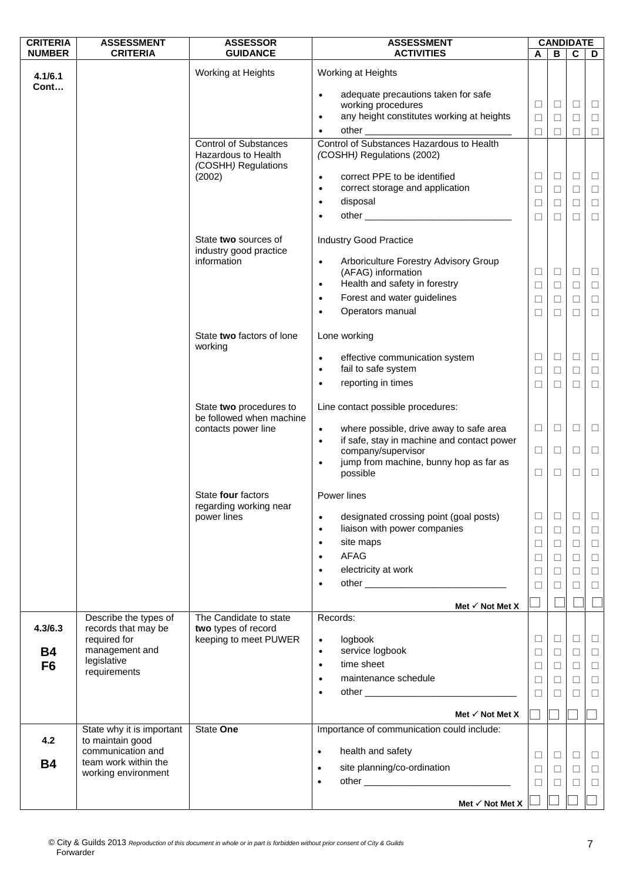| <b>CRITERIA</b> | <b>ASSESSMENT</b>                            | <b>ASSESSOR</b>                                               | <b>ASSESSMENT</b>                                                                   |             | <b>CANDIDATE</b> |                  |                  |
|-----------------|----------------------------------------------|---------------------------------------------------------------|-------------------------------------------------------------------------------------|-------------|------------------|------------------|------------------|
| <b>NUMBER</b>   | <b>CRITERIA</b>                              | <b>GUIDANCE</b>                                               | <b>ACTIVITIES</b>                                                                   | A           | B                | $\mathbf c$      | D                |
| 4.1/6.1         |                                              | Working at Heights                                            | Working at Heights                                                                  |             |                  |                  |                  |
| Cont            |                                              |                                                               | adequate precautions taken for safe<br>$\bullet$                                    |             |                  |                  |                  |
|                 |                                              |                                                               | working procedures                                                                  | □           | $\Box$           | □                | $\Box$           |
|                 |                                              |                                                               | any height constitutes working at heights<br>$\bullet$                              | □           | □                | □                | □                |
|                 |                                              |                                                               | other                                                                               | $\Box$      | □                | □                | $\Box$           |
|                 |                                              | <b>Control of Substances</b><br>Hazardous to Health           | Control of Substances Hazardous to Health<br>(COSHH) Regulations (2002)             |             |                  |                  |                  |
|                 |                                              | (COSHH) Regulations<br>(2002)                                 | correct PPE to be identified<br>$\bullet$                                           | $\Box$      | $\Box$           | $\Box$           | $\Box$           |
|                 |                                              |                                                               | correct storage and application<br>$\bullet$                                        | $\Box$      | $\Box$           | □                | $\Box$           |
|                 |                                              |                                                               | disposal<br>$\bullet$                                                               | $\Box$      | □                | $\Box$           | $\Box$           |
|                 |                                              |                                                               | $\bullet$                                                                           | $\Box$      | $\Box$           | $\Box$           | $\Box$           |
|                 |                                              |                                                               |                                                                                     |             |                  |                  |                  |
|                 |                                              | State two sources of<br>industry good practice<br>information | <b>Industry Good Practice</b><br>Arboriculture Forestry Advisory Group<br>$\bullet$ |             |                  |                  |                  |
|                 |                                              |                                                               | (AFAG) information                                                                  | □           | $\Box$           | □                | $\Box$           |
|                 |                                              |                                                               | Health and safety in forestry<br>$\bullet$                                          | $\Box$      | $\Box$           | $\Box$           | $\Box$           |
|                 |                                              |                                                               | Forest and water guidelines<br>$\bullet$                                            | $\Box$      | □                | $\Box$           | $\Box$           |
|                 |                                              |                                                               | Operators manual                                                                    | $\Box$      | □                | □                | $\Box$           |
|                 |                                              | State two factors of lone<br>working                          | Lone working                                                                        |             |                  |                  |                  |
|                 |                                              |                                                               | effective communication system<br>$\bullet$                                         | ⊔           | $\Box$           | ⊔                | Ц                |
|                 |                                              |                                                               | fail to safe system<br>$\bullet$                                                    | $\Box$      | $\Box$           | $\Box$           | $\Box$           |
|                 |                                              |                                                               | reporting in times<br>$\bullet$                                                     | □           | П                | П                | $\Box$           |
|                 |                                              | State two procedures to<br>be followed when machine           | Line contact possible procedures:                                                   |             |                  |                  |                  |
|                 |                                              | contacts power line                                           | where possible, drive away to safe area<br>$\bullet$                                | $\Box$      | $\Box$           | □                | □                |
|                 |                                              |                                                               | if safe, stay in machine and contact power<br>$\bullet$                             |             |                  |                  |                  |
|                 |                                              |                                                               | company/supervisor                                                                  | □           | □                | ⊔                | □                |
|                 |                                              |                                                               | jump from machine, bunny hop as far as<br>$\bullet$<br>possible                     | □           | □                | □                | $\Box$           |
|                 |                                              | State four factors<br>regarding working near                  | Power lines                                                                         |             |                  |                  |                  |
|                 |                                              | power lines                                                   | designated crossing point (goal posts)<br>$\bullet$<br>liaison with power companies | $\Box$      | □                | ⊔                | $\Box$           |
|                 |                                              |                                                               | $\bullet$<br>site maps<br>$\bullet$                                                 | $\Box$      | $\Box$           | $\Box$           | $\Box$           |
|                 |                                              |                                                               | AFAG<br>$\bullet$                                                                   | $\Box$      | $\Box$           | $\Box$           | $\Box$           |
|                 |                                              |                                                               | electricity at work<br>$\bullet$                                                    | □<br>$\Box$ | □<br>$\Box$      | $\Box$<br>$\Box$ | $\Box$<br>$\Box$ |
|                 |                                              |                                                               | $\bullet$                                                                           | □           | $\perp$          | □                | $\Box$           |
|                 |                                              |                                                               |                                                                                     |             |                  |                  |                  |
|                 |                                              |                                                               | Met $\checkmark$ Not Met X                                                          |             |                  |                  |                  |
| 4.3/6.3         | Describe the types of<br>records that may be | The Candidate to state<br>two types of record                 | Records:                                                                            |             |                  |                  |                  |
|                 | required for                                 | keeping to meet PUWER                                         | logbook<br>$\bullet$                                                                | ⊔           | $\Box$           | ⊔                | $\Box$           |
| <b>B4</b>       | management and                               |                                                               | service logbook<br>$\bullet$                                                        | $\Box$      | $\Box$           | $\Box$           | $\Box$           |
| F <sub>6</sub>  | legislative<br>requirements                  |                                                               | time sheet<br>$\bullet$                                                             | $\Box$      | □                | $\Box$           | $\Box$           |
|                 |                                              |                                                               | maintenance schedule<br>$\bullet$                                                   | $\Box$      | □                | $\Box$           | $\Box$           |
|                 |                                              |                                                               | $\bullet$                                                                           | $\Box$      | □                | $\Box$           | $\Box$           |
|                 |                                              |                                                               | Met $\checkmark$ Not Met X                                                          |             |                  |                  |                  |
|                 | State why it is important                    | State One                                                     | Importance of communication could include:                                          |             |                  |                  |                  |
| 4.2             | to maintain good                             |                                                               |                                                                                     |             |                  |                  |                  |
| <b>B4</b>       | communication and<br>team work within the    |                                                               | health and safety<br>$\bullet$                                                      | ⊔           | $\Box$           | □                | $\Box$           |
|                 | working environment                          |                                                               | site planning/co-ordination<br>$\bullet$                                            | □           | $\Box$           | $\Box$           | $\Box$           |
|                 |                                              |                                                               | $\bullet$                                                                           | $\Box$      | □                | ⊔                | $\Box$           |
|                 |                                              |                                                               | Met $\checkmark$ Not Met X                                                          |             |                  |                  |                  |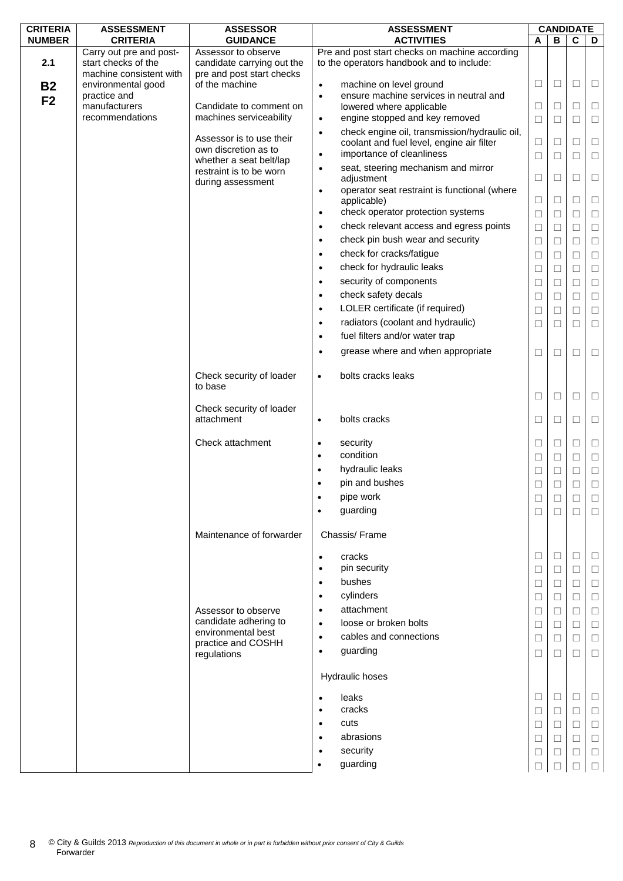| <b>CRITERIA</b> | <b>ASSESSMENT</b>                                                         | <b>ASSESSOR</b>                                    | <b>ASSESSMENT</b>                                                                           |        | <b>CANDIDATE</b> |        |        |
|-----------------|---------------------------------------------------------------------------|----------------------------------------------------|---------------------------------------------------------------------------------------------|--------|------------------|--------|--------|
| <b>NUMBER</b>   | <b>CRITERIA</b>                                                           | <b>GUIDANCE</b>                                    | <b>ACTIVITIES</b>                                                                           | A      | B                | C      | D      |
| 2.1             | Carry out pre and post-<br>start checks of the<br>machine consistent with | Assessor to observe<br>candidate carrying out the  | Pre and post start checks on machine according<br>to the operators handbook and to include: |        |                  |        |        |
| <b>B2</b>       | environmental good                                                        | pre and post start checks<br>of the machine        | machine on level ground<br>$\bullet$                                                        | $\Box$ | $\Box$           | $\Box$ | Ц      |
|                 | practice and                                                              |                                                    | ensure machine services in neutral and<br>$\bullet$                                         |        |                  |        |        |
| F <sub>2</sub>  | manufacturers                                                             | Candidate to comment on                            | lowered where applicable                                                                    | $\Box$ | □                | $\Box$ | $\Box$ |
|                 | recommendations                                                           | machines serviceability                            | engine stopped and key removed<br>$\bullet$                                                 | $\Box$ | □                | $\Box$ | $\Box$ |
|                 |                                                                           |                                                    | check engine oil, transmission/hydraulic oil,<br>$\bullet$                                  |        |                  |        |        |
|                 |                                                                           | Assessor is to use their                           | coolant and fuel level, engine air filter                                                   | $\Box$ | $\Box$           | $\Box$ | □      |
|                 |                                                                           | own discretion as to                               | importance of cleanliness<br>$\bullet$                                                      | $\Box$ | $\Box$           | $\Box$ | □      |
|                 |                                                                           | whether a seat belt/lap<br>restraint is to be worn | seat, steering mechanism and mirror<br>$\bullet$                                            |        |                  |        |        |
|                 |                                                                           | during assessment                                  | adjustment                                                                                  | $\Box$ | $\Box$           | $\Box$ | $\Box$ |
|                 |                                                                           |                                                    | operator seat restraint is functional (where<br>$\bullet$                                   |        |                  |        |        |
|                 |                                                                           |                                                    | applicable)                                                                                 | $\Box$ | $\Box$           | $\Box$ | □      |
|                 |                                                                           |                                                    | check operator protection systems<br>$\bullet$                                              | $\Box$ | $\Box$           | $\Box$ | $\Box$ |
|                 |                                                                           |                                                    | check relevant access and egress points<br>$\bullet$                                        | $\Box$ | $\Box$           | $\Box$ | $\Box$ |
|                 |                                                                           |                                                    | check pin bush wear and security<br>$\bullet$                                               | $\Box$ | $\Box$           | $\Box$ | $\Box$ |
|                 |                                                                           |                                                    | check for cracks/fatigue<br>$\bullet$                                                       | □      | $\Box$           | $\Box$ | □      |
|                 |                                                                           |                                                    | check for hydraulic leaks<br>$\bullet$                                                      | $\Box$ | $\Box$           | $\Box$ | $\Box$ |
|                 |                                                                           |                                                    | security of components<br>$\bullet$                                                         | $\Box$ | $\Box$           | $\Box$ | $\Box$ |
|                 |                                                                           |                                                    | check safety decals<br>$\bullet$                                                            | $\Box$ | $\Box$           | $\Box$ | $\Box$ |
|                 |                                                                           |                                                    | LOLER certificate (if required)<br>$\bullet$                                                |        |                  |        |        |
|                 |                                                                           |                                                    | radiators (coolant and hydraulic)                                                           | $\Box$ | $\Box$           | $\Box$ | $\Box$ |
|                 |                                                                           |                                                    | $\bullet$                                                                                   | ⊔      | ⊔                | $\Box$ | ⊔      |
|                 |                                                                           |                                                    | fuel filters and/or water trap<br>$\bullet$                                                 |        |                  |        |        |
|                 |                                                                           |                                                    | grease where and when appropriate<br>$\bullet$                                              | $\Box$ | $\Box$           | $\Box$ | $\Box$ |
|                 |                                                                           | Check security of loader<br>to base                | bolts cracks leaks<br>$\bullet$                                                             |        |                  |        |        |
|                 |                                                                           |                                                    |                                                                                             | $\Box$ | □                | $\Box$ | $\Box$ |
|                 |                                                                           | Check security of loader                           |                                                                                             |        |                  |        |        |
|                 |                                                                           | attachment                                         | bolts cracks<br>$\bullet$                                                                   | $\Box$ | □                | $\Box$ | □      |
|                 |                                                                           | Check attachment                                   | security<br>$\bullet$                                                                       | ⊔      | □                | $\Box$ | Ш      |
|                 |                                                                           |                                                    | condition<br>$\bullet$                                                                      | $\Box$ | □                | $\Box$ | □      |
|                 |                                                                           |                                                    | hydraulic leaks<br>$\bullet$                                                                | ⊔      | ⊔                | $\Box$ | $\Box$ |
|                 |                                                                           |                                                    | pin and bushes<br>$\bullet$                                                                 | П      | П                | $\Box$ | $\Box$ |
|                 |                                                                           |                                                    | pipe work                                                                                   | $\Box$ | □                | $\Box$ | □      |
|                 |                                                                           |                                                    | guarding                                                                                    | □      | П                | $\Box$ | □      |
|                 |                                                                           | Maintenance of forwarder                           | Chassis/Frame                                                                               |        |                  |        |        |
|                 |                                                                           |                                                    |                                                                                             |        |                  |        |        |
|                 |                                                                           |                                                    | cracks<br>$\bullet$                                                                         | ⊔      | □                | □      | ⊔      |
|                 |                                                                           |                                                    | pin security<br>$\bullet$                                                                   | $\Box$ | □                | $\Box$ | □      |
|                 |                                                                           |                                                    | bushes<br>$\bullet$                                                                         | $\Box$ | ⊔                | □      | □      |
|                 |                                                                           |                                                    | cylinders<br>$\bullet$                                                                      | ⊔      | $\Box$           | □      | □      |
|                 |                                                                           | Assessor to observe                                | attachment<br>$\bullet$                                                                     | $\Box$ | □                | $\Box$ | $\Box$ |
|                 |                                                                           | candidate adhering to                              | loose or broken bolts<br>$\bullet$                                                          | □      | □                | $\Box$ | □      |
|                 |                                                                           | environmental best<br>practice and COSHH           | cables and connections<br>$\bullet$                                                         | $\Box$ | □                | $\Box$ | □      |
|                 |                                                                           | regulations                                        | guarding<br>$\bullet$                                                                       | □      | П                | $\Box$ | □      |
|                 |                                                                           |                                                    | Hydraulic hoses                                                                             |        |                  |        |        |
|                 |                                                                           |                                                    | leaks                                                                                       | □      | □                | $\Box$ | ⊔      |
|                 |                                                                           |                                                    | $\bullet$<br>cracks<br>$\bullet$                                                            | $\Box$ | □                | $\Box$ | $\Box$ |
|                 |                                                                           |                                                    | cuts                                                                                        |        |                  |        |        |
|                 |                                                                           |                                                    | abrasions                                                                                   | □      | □                | □      | □      |
|                 |                                                                           |                                                    | security                                                                                    | ⊔      |                  | □      | ⊔      |
|                 |                                                                           |                                                    |                                                                                             | $\Box$ | □                | $\Box$ | □      |
|                 |                                                                           |                                                    | guarding                                                                                    | П      |                  |        | □      |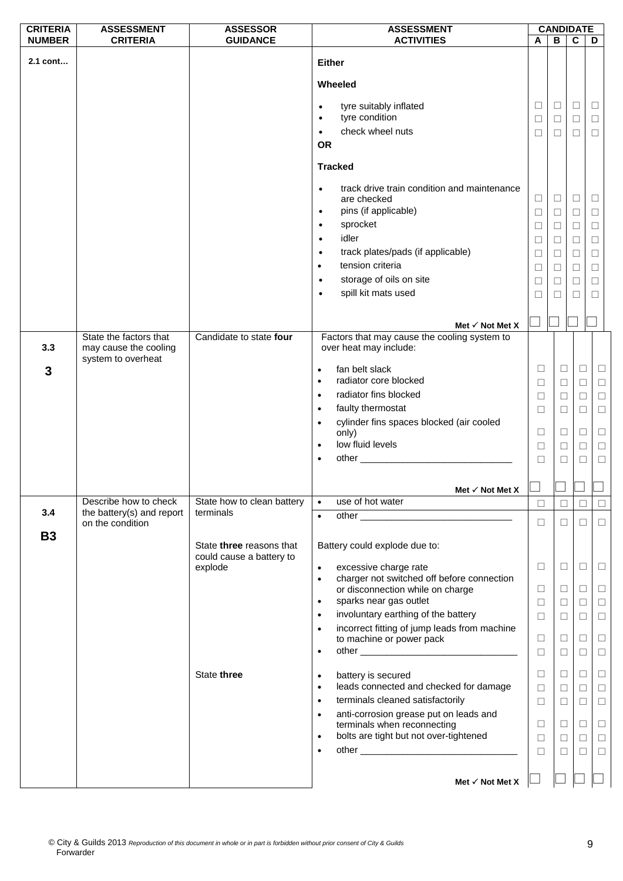| <b>CRITERIA</b> | <b>ASSESSMENT</b>                                                     | <b>ASSESSOR</b>                                                        |                        | <b>ASSESSMENT</b>                                                                                                                                                                                                             |                  | <b>CANDIDATE</b> |                  |             |
|-----------------|-----------------------------------------------------------------------|------------------------------------------------------------------------|------------------------|-------------------------------------------------------------------------------------------------------------------------------------------------------------------------------------------------------------------------------|------------------|------------------|------------------|-------------|
| <b>NUMBER</b>   | <b>CRITERIA</b>                                                       | <b>GUIDANCE</b>                                                        |                        | <b>ACTIVITIES</b>                                                                                                                                                                                                             | A                | B                | $\mathbf{c}$     | D           |
| 2.1 cont        |                                                                       |                                                                        |                        | <b>Either</b><br>Wheeled                                                                                                                                                                                                      |                  |                  |                  |             |
|                 |                                                                       |                                                                        | $\bullet$<br>$\bullet$ | tyre suitably inflated<br>tyre condition<br>check wheel nuts                                                                                                                                                                  | ⊔<br>$\Box$      | □<br>$\Box$      | Ц<br>$\Box$      | Ц<br>$\Box$ |
|                 |                                                                       |                                                                        | <b>OR</b>              |                                                                                                                                                                                                                               | П                | □                | $\Box$           | $\Box$      |
|                 |                                                                       |                                                                        |                        | <b>Tracked</b>                                                                                                                                                                                                                |                  |                  |                  |             |
|                 |                                                                       |                                                                        | $\bullet$<br>$\bullet$ | track drive train condition and maintenance<br>are checked<br>pins (if applicable)                                                                                                                                            | $\Box$<br>$\Box$ | $\Box$<br>□      | $\Box$<br>$\Box$ | $\Box$<br>□ |
|                 |                                                                       |                                                                        | $\bullet$              | sprocket                                                                                                                                                                                                                      | $\Box$           | $\Box$           | $\Box$           | $\Box$      |
|                 |                                                                       |                                                                        | $\bullet$              | idler                                                                                                                                                                                                                         | □                | □                | □                | $\Box$      |
|                 |                                                                       |                                                                        | $\bullet$              | track plates/pads (if applicable)                                                                                                                                                                                             | $\Box$           | $\Box$           | $\Box$           | $\Box$      |
|                 |                                                                       |                                                                        |                        | tension criteria                                                                                                                                                                                                              |                  |                  |                  |             |
|                 |                                                                       |                                                                        | $\bullet$              |                                                                                                                                                                                                                               | $\Box$           | $\Box$           | $\Box$           | $\Box$      |
|                 |                                                                       |                                                                        | $\bullet$              | storage of oils on site                                                                                                                                                                                                       | □                | □                | $\Box$           | □           |
|                 |                                                                       |                                                                        |                        | spill kit mats used                                                                                                                                                                                                           | □                | □                | $\Box$           | $\Box$      |
|                 |                                                                       |                                                                        |                        | Met $\checkmark$ Not Met X                                                                                                                                                                                                    |                  |                  |                  |             |
| 3.3             | State the factors that<br>may cause the cooling<br>system to overheat | Candidate to state four                                                |                        | Factors that may cause the cooling system to<br>over heat may include:                                                                                                                                                        |                  |                  |                  |             |
| 3               |                                                                       |                                                                        | $\bullet$              | fan belt slack                                                                                                                                                                                                                | $\Box$           | $\Box$           | □                | $\Box$      |
|                 |                                                                       |                                                                        | $\bullet$              | radiator core blocked                                                                                                                                                                                                         | $\Box$           | $\Box$           | $\Box$           | $\Box$      |
|                 |                                                                       |                                                                        | $\bullet$              | radiator fins blocked                                                                                                                                                                                                         | $\Box$           | $\Box$           | □                | $\Box$      |
|                 |                                                                       |                                                                        | $\bullet$              | faulty thermostat                                                                                                                                                                                                             | $\Box$           | $\Box$           | □                | $\Box$      |
|                 |                                                                       |                                                                        | $\bullet$              | cylinder fins spaces blocked (air cooled                                                                                                                                                                                      |                  |                  |                  |             |
|                 |                                                                       |                                                                        |                        | only)                                                                                                                                                                                                                         | $\Box$           | $\Box$           | $\Box$           | $\Box$      |
|                 |                                                                       |                                                                        | $\bullet$              | low fluid levels                                                                                                                                                                                                              | $\Box$           | $\Box$           | $\Box$           | $\Box$      |
|                 |                                                                       |                                                                        |                        | other and the contract of the contract of the contract of the contract of the contract of the contract of the contract of the contract of the contract of the contract of the contract of the contract of the contract of the | П                | $\Box$           | □                | $\Box$      |
|                 |                                                                       |                                                                        |                        |                                                                                                                                                                                                                               |                  |                  |                  |             |
|                 |                                                                       |                                                                        |                        | Met $\checkmark$ Not Met X                                                                                                                                                                                                    |                  |                  |                  |             |
| 3.4             | Describe how to check<br>the battery(s) and report                    | State how to clean battery<br>terminals                                | $\bullet$              | use of hot water                                                                                                                                                                                                              | $\Box$           | П                | □                | $\Box$      |
| <b>B3</b>       | on the condition                                                      |                                                                        | $\bullet$              |                                                                                                                                                                                                                               | $\Box$           | □                | $\Box$           | $\Box$      |
|                 |                                                                       | State <b>three</b> reasons that<br>could cause a battery to<br>explode | $\bullet$              | Battery could explode due to:<br>excessive charge rate                                                                                                                                                                        | $\Box$           | $\Box$           | ⊔                | $\Box$      |
|                 |                                                                       |                                                                        | $\bullet$              | charger not switched off before connection                                                                                                                                                                                    |                  |                  |                  |             |
|                 |                                                                       |                                                                        |                        | or disconnection while on charge                                                                                                                                                                                              | Ш                | $\Box$           | Ш                | $\Box$      |
|                 |                                                                       |                                                                        | $\bullet$              | sparks near gas outlet                                                                                                                                                                                                        | $\Box$           | $\Box$           | $\Box$           | $\Box$      |
|                 |                                                                       |                                                                        | $\bullet$              | involuntary earthing of the battery                                                                                                                                                                                           | □                | $\Box$           | □                | $\Box$      |
|                 |                                                                       |                                                                        | $\bullet$              | incorrect fitting of jump leads from machine                                                                                                                                                                                  |                  |                  |                  |             |
|                 |                                                                       |                                                                        |                        | to machine or power pack                                                                                                                                                                                                      | □                | $\Box$           | □                | $\Box$      |
|                 |                                                                       |                                                                        | $\bullet$              |                                                                                                                                                                                                                               | $\Box$           | $\Box$           | $\Box$           | $\Box$      |
|                 |                                                                       | State three                                                            |                        | battery is secured                                                                                                                                                                                                            | $\Box$           | $\Box$           | $\Box$           | $\Box$      |
|                 |                                                                       |                                                                        | $\bullet$<br>$\bullet$ | leads connected and checked for damage                                                                                                                                                                                        | □                | $\Box$           | $\Box$           | $\Box$      |
|                 |                                                                       |                                                                        | $\bullet$              | terminals cleaned satisfactorily                                                                                                                                                                                              |                  |                  |                  |             |
|                 |                                                                       |                                                                        |                        | anti-corrosion grease put on leads and                                                                                                                                                                                        | □                | $\Box$           | ⊔                | $\Box$      |
|                 |                                                                       |                                                                        | $\bullet$              | terminals when reconnecting                                                                                                                                                                                                   | $\Box$           | $\Box$           | $\Box$           | $\Box$      |
|                 |                                                                       |                                                                        | $\bullet$              | bolts are tight but not over-tightened                                                                                                                                                                                        | $\Box$           | $\Box$           | $\Box$           | $\Box$      |
|                 |                                                                       |                                                                        | $\bullet$              |                                                                                                                                                                                                                               | □                | □                | ⊔                | $\Box$      |
|                 |                                                                       |                                                                        |                        |                                                                                                                                                                                                                               |                  |                  |                  |             |
|                 |                                                                       |                                                                        |                        | Met $\checkmark$ Not Met X                                                                                                                                                                                                    |                  |                  |                  |             |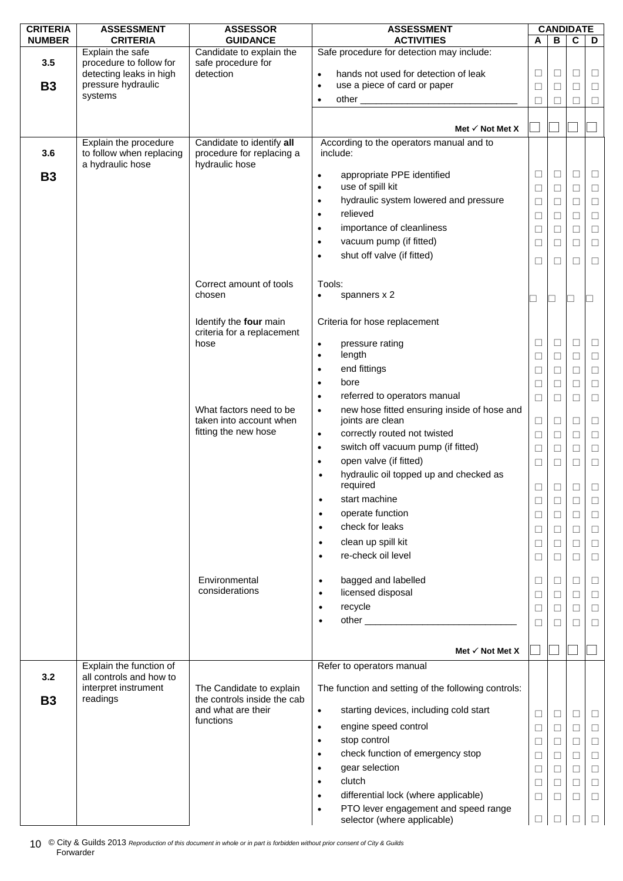| <b>CRITERIA</b> | <b>ASSESSMENT</b>                           | <b>ASSESSOR</b>                                         | <b>ASSESSMENT</b>                                                                                                          |                          |        | <b>CANDIDATE</b> |                          |
|-----------------|---------------------------------------------|---------------------------------------------------------|----------------------------------------------------------------------------------------------------------------------------|--------------------------|--------|------------------|--------------------------|
| <b>NUMBER</b>   | <b>CRITERIA</b>                             | <b>GUIDANCE</b>                                         | <b>ACTIVITIES</b>                                                                                                          | A                        | B      | $\mathbf c$      | D                        |
| 3.5             | Explain the safe<br>procedure to follow for | Candidate to explain the<br>safe procedure for          | Safe procedure for detection may include:                                                                                  |                          |        |                  |                          |
|                 | detecting leaks in high                     | detection                                               | hands not used for detection of leak<br>$\bullet$                                                                          | ⊔                        | ⊔      | □                | $\Box$                   |
| <b>B3</b>       | pressure hydraulic                          |                                                         | use a piece of card or paper<br>$\bullet$                                                                                  | $\Box$                   | $\Box$ | $\Box$           | $\Box$                   |
|                 | systems                                     |                                                         | $\bullet$                                                                                                                  | □                        | □      | $\Box$           | $\Box$                   |
|                 |                                             |                                                         |                                                                                                                            |                          |        |                  |                          |
|                 |                                             |                                                         | Met $\checkmark$ Not Met X                                                                                                 | ×                        |        |                  |                          |
|                 | Explain the procedure                       | Candidate to identify all                               | According to the operators manual and to                                                                                   |                          |        |                  |                          |
| 3.6             | to follow when replacing                    | procedure for replacing a                               | include:                                                                                                                   |                          |        |                  |                          |
|                 | a hydraulic hose                            | hydraulic hose                                          |                                                                                                                            |                          | $\Box$ | □                |                          |
| <b>B3</b>       |                                             |                                                         | appropriate PPE identified<br>$\bullet$<br>use of spill kit<br>$\bullet$                                                   | ⊔<br>$\Box$              |        | $\Box$           | ш                        |
|                 |                                             |                                                         | hydraulic system lowered and pressure<br>$\bullet$                                                                         |                          | $\Box$ |                  | $\Box$                   |
|                 |                                             |                                                         | relieved<br>$\bullet$                                                                                                      | $\Box$                   | □      | $\Box$<br>$\Box$ | $\Box$                   |
|                 |                                             |                                                         | importance of cleanliness<br>$\bullet$                                                                                     | □                        | $\Box$ | $\Box$           | $\Box$                   |
|                 |                                             |                                                         | vacuum pump (if fitted)<br>$\bullet$                                                                                       | □                        | $\Box$ |                  | $\Box$                   |
|                 |                                             |                                                         | shut off valve (if fitted)<br>$\bullet$                                                                                    | $\Box$                   | ⊔      | □                | □                        |
|                 |                                             |                                                         |                                                                                                                            | $\Box$                   | □      | $\Box$           | $\Box$                   |
|                 |                                             | Correct amount of tools                                 | Tools:                                                                                                                     |                          |        |                  |                          |
|                 |                                             | chosen                                                  | spanners x 2<br>$\bullet$                                                                                                  |                          |        |                  |                          |
|                 |                                             |                                                         |                                                                                                                            | $\overline{\phantom{a}}$ | ┑      | $\Box$           | $\overline{\phantom{a}}$ |
|                 |                                             | Identify the four main                                  | Criteria for hose replacement                                                                                              |                          |        |                  |                          |
|                 |                                             | criteria for a replacement                              |                                                                                                                            |                          |        |                  |                          |
|                 |                                             | hose                                                    | pressure rating<br>$\bullet$                                                                                               | □                        | □      | $\Box$           | $\Box$                   |
|                 |                                             |                                                         | length<br>$\bullet$                                                                                                        | $\Box$                   | $\Box$ | $\Box$           | $\Box$                   |
|                 |                                             |                                                         | end fittings<br>$\bullet$                                                                                                  | $\Box$                   | $\Box$ | $\Box$           | $\Box$                   |
|                 |                                             |                                                         | bore<br>$\bullet$                                                                                                          | $\Box$                   | □      | □                | $\Box$                   |
|                 |                                             |                                                         | referred to operators manual<br>$\bullet$                                                                                  | □                        | $\Box$ | $\Box$           | $\Box$                   |
|                 |                                             | What factors need to be                                 | new hose fitted ensuring inside of hose and<br>$\bullet$                                                                   |                          |        |                  |                          |
|                 |                                             | taken into account when<br>fitting the new hose         | joints are clean<br>correctly routed not twisted<br>$\bullet$                                                              | $\Box$                   | □      | $\Box$           | $\Box$                   |
|                 |                                             |                                                         | switch off vacuum pump (if fitted)<br>$\bullet$                                                                            | $\Box$                   | $\Box$ | $\Box$           | $\Box$                   |
|                 |                                             |                                                         | open valve (if fitted)<br>$\bullet$                                                                                        | $\Box$                   | $\Box$ | $\Box$           | $\Box$                   |
|                 |                                             |                                                         | hydraulic oil topped up and checked as<br>$\bullet$                                                                        | $\Box$                   | □      | $\Box$           | $\Box$                   |
|                 |                                             |                                                         | required                                                                                                                   | $\Box$                   | □      | $\Box$           | $\Box$                   |
|                 |                                             |                                                         | start machine<br>$\bullet$                                                                                                 | $\Box$                   | $\Box$ | □                | □                        |
|                 |                                             |                                                         | operate function<br>$\bullet$                                                                                              | $\Box$                   | $\Box$ | $\Box$           | $\Box$                   |
|                 |                                             |                                                         | check for leaks<br>$\bullet$                                                                                               | $\Box$                   | □      | $\Box$           | $\Box$                   |
|                 |                                             |                                                         | clean up spill kit<br>$\bullet$                                                                                            | □                        | $\Box$ | $\Box$           | $\Box$                   |
|                 |                                             |                                                         | re-check oil level<br>$\bullet$                                                                                            | $\Box$                   | $\Box$ | $\Box$           | $\Box$                   |
|                 |                                             |                                                         |                                                                                                                            |                          |        |                  |                          |
|                 |                                             | Environmental                                           | bagged and labelled<br>$\bullet$                                                                                           | $\Box$                   | $\Box$ | $\Box$           | $\Box$                   |
|                 |                                             | considerations                                          | licensed disposal<br>$\bullet$                                                                                             | $\Box$                   | ⊔      | $\Box$           | $\Box$                   |
|                 |                                             |                                                         | recycle<br>$\bullet$                                                                                                       | $\Box$                   | $\Box$ | $\Box$           | $\Box$                   |
|                 |                                             |                                                         | other and the contract of the contract of the contract of the contract of the contract of the contract of the<br>$\bullet$ | $\Box$                   | □      | $\Box$           | $\Box$                   |
|                 |                                             |                                                         |                                                                                                                            |                          |        |                  |                          |
|                 |                                             |                                                         | Met $\checkmark$ Not Met X                                                                                                 |                          |        |                  |                          |
|                 | Explain the function of                     |                                                         | Refer to operators manual                                                                                                  |                          |        |                  |                          |
| 3.2             | all controls and how to                     |                                                         |                                                                                                                            |                          |        |                  |                          |
|                 | interpret instrument<br>readings            | The Candidate to explain<br>the controls inside the cab | The function and setting of the following controls:                                                                        |                          |        |                  |                          |
| <b>B3</b>       |                                             | and what are their                                      | starting devices, including cold start<br>$\bullet$                                                                        |                          |        |                  |                          |
|                 |                                             | functions                                               |                                                                                                                            | □                        | ⊔      | Ш                | ⊔                        |
|                 |                                             |                                                         | engine speed control<br>$\bullet$                                                                                          | $\Box$                   | $\Box$ | $\Box$           | $\Box$                   |
|                 |                                             |                                                         | stop control<br>٠                                                                                                          | $\Box$                   | □      | $\Box$           | $\Box$                   |
|                 |                                             |                                                         | check function of emergency stop<br>٠                                                                                      | $\Box$                   | $\Box$ | $\Box$           | $\Box$                   |
|                 |                                             |                                                         | gear selection<br>٠<br>clutch                                                                                              | $\Box$                   | $\Box$ | $\Box$           | $\Box$                   |
|                 |                                             |                                                         | ٠<br>differential lock (where applicable)                                                                                  | $\Box$                   | $\Box$ | $\Box$           | $\Box$                   |
|                 |                                             |                                                         | $\bullet$<br>PTO lever engagement and speed range                                                                          | $\Box$                   | $\Box$ | $\Box$           | $\Box$                   |
|                 |                                             |                                                         | $\bullet$<br>selector (where applicable)                                                                                   | $\Box$                   | $\Box$ | $\Box$           | $\Box$                   |
|                 |                                             |                                                         |                                                                                                                            |                          |        |                  |                          |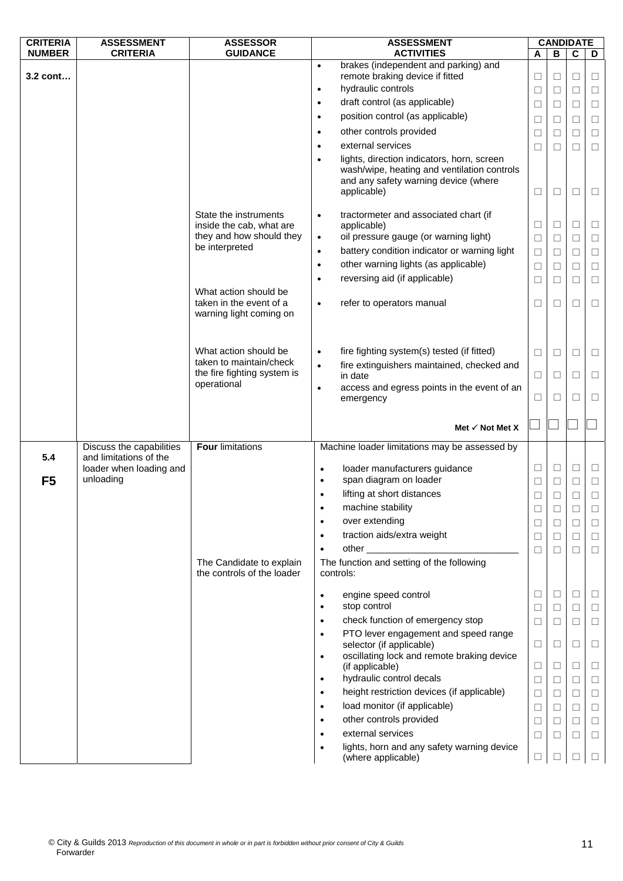| <b>CRITERIA</b> | <b>ASSESSMENT</b>                                  | <b>ASSESSOR</b>                                                             |           | <b>ASSESSMENT</b>                                                                                                                                |        |        | <b>CANDIDATE</b> |        |
|-----------------|----------------------------------------------------|-----------------------------------------------------------------------------|-----------|--------------------------------------------------------------------------------------------------------------------------------------------------|--------|--------|------------------|--------|
| <b>NUMBER</b>   | <b>CRITERIA</b>                                    | <b>GUIDANCE</b>                                                             |           | <b>ACTIVITIES</b>                                                                                                                                | A      | В      | C                | D      |
|                 |                                                    |                                                                             | $\bullet$ | brakes (independent and parking) and                                                                                                             |        |        |                  |        |
| 3.2 cont        |                                                    |                                                                             |           | remote braking device if fitted                                                                                                                  | ⊔      | $\Box$ | □                | □      |
|                 |                                                    |                                                                             | $\bullet$ | hydraulic controls                                                                                                                               | $\Box$ | $\Box$ | $\Box$           | $\Box$ |
|                 |                                                    |                                                                             | $\bullet$ | draft control (as applicable)                                                                                                                    | $\Box$ | $\Box$ | $\Box$           | $\Box$ |
|                 |                                                    |                                                                             | $\bullet$ | position control (as applicable)                                                                                                                 | $\Box$ | $\Box$ | $\Box$           | $\Box$ |
|                 |                                                    |                                                                             | $\bullet$ | other controls provided                                                                                                                          | $\Box$ | $\Box$ | $\Box$           | $\Box$ |
|                 |                                                    |                                                                             | $\bullet$ | external services                                                                                                                                | $\Box$ | $\Box$ | □                | $\Box$ |
|                 |                                                    |                                                                             | $\bullet$ | lights, direction indicators, horn, screen<br>wash/wipe, heating and ventilation controls<br>and any safety warning device (where<br>applicable) | $\Box$ | $\Box$ | $\Box$           | $\Box$ |
|                 |                                                    | State the instruments<br>inside the cab, what are                           | $\bullet$ | tractormeter and associated chart (if<br>applicable)                                                                                             | Ц      | $\Box$ | ⊔                | ⊔      |
|                 |                                                    | they and how should they<br>be interpreted                                  | $\bullet$ | oil pressure gauge (or warning light)                                                                                                            | $\Box$ | $\Box$ | $\Box$           | $\Box$ |
|                 |                                                    |                                                                             | $\bullet$ | battery condition indicator or warning light                                                                                                     | $\Box$ | $\Box$ | □                | □      |
|                 |                                                    |                                                                             | $\bullet$ | other warning lights (as applicable)                                                                                                             | $\Box$ | $\Box$ | $\Box$           | $\Box$ |
|                 |                                                    |                                                                             | $\bullet$ | reversing aid (if applicable)                                                                                                                    | $\Box$ | $\Box$ | $\Box$           | $\Box$ |
|                 |                                                    | What action should be<br>taken in the event of a<br>warning light coming on | $\bullet$ | refer to operators manual                                                                                                                        | □      | $\Box$ | □                | $\Box$ |
|                 |                                                    |                                                                             |           |                                                                                                                                                  |        |        |                  |        |
|                 |                                                    | What action should be                                                       | $\bullet$ | fire fighting system(s) tested (if fitted)                                                                                                       | $\Box$ | $\Box$ | $\Box$           | □      |
|                 |                                                    | taken to maintain/check                                                     | $\bullet$ | fire extinguishers maintained, checked and                                                                                                       |        |        |                  |        |
|                 |                                                    | the fire fighting system is<br>operational                                  |           | in date                                                                                                                                          | $\Box$ | $\Box$ | □                | □      |
|                 |                                                    |                                                                             | $\bullet$ | access and egress points in the event of an<br>emergency                                                                                         | ⊔      | □      | $\Box$           | ⊔      |
|                 |                                                    |                                                                             |           |                                                                                                                                                  |        |        |                  |        |
|                 |                                                    |                                                                             |           | Met $\checkmark$ Not Met X                                                                                                                       |        |        |                  |        |
| 5.4             | Discuss the capabilities<br>and limitations of the | <b>Four limitations</b>                                                     |           | Machine loader limitations may be assessed by                                                                                                    |        |        |                  |        |
|                 | loader when loading and                            |                                                                             | $\bullet$ | loader manufacturers guidance                                                                                                                    | $\Box$ | $\Box$ | $\Box$           | $\Box$ |
| F <sub>5</sub>  | unloading                                          |                                                                             | $\bullet$ | span diagram on loader                                                                                                                           | □      | $\Box$ | $\Box$           | $\Box$ |
|                 |                                                    |                                                                             | $\bullet$ | lifting at short distances                                                                                                                       | $\Box$ | $\Box$ | $\Box$           | $\Box$ |
|                 |                                                    |                                                                             | ٠         | machine stability                                                                                                                                |        | □      | ⊔                | ⊔      |
|                 |                                                    |                                                                             | $\bullet$ | over extending                                                                                                                                   | ⊔      | □      | ⊔                | ⊔      |
|                 |                                                    |                                                                             | $\bullet$ | traction aids/extra weight                                                                                                                       | $\Box$ | $\Box$ | $\Box$           | $\Box$ |
|                 |                                                    |                                                                             | $\bullet$ | other                                                                                                                                            | □      | $\Box$ | П                | □      |
|                 |                                                    | The Candidate to explain<br>the controls of the loader                      |           | The function and setting of the following<br>controls:                                                                                           |        |        |                  |        |
|                 |                                                    |                                                                             | $\bullet$ | engine speed control                                                                                                                             | ⊔      | $\Box$ | $\Box$           | ⊔      |
|                 |                                                    |                                                                             | ٠         | stop control                                                                                                                                     | $\Box$ | $\Box$ | $\Box$           | □      |
|                 |                                                    |                                                                             | $\bullet$ | check function of emergency stop                                                                                                                 | $\Box$ | $\Box$ | □                | □      |
|                 |                                                    |                                                                             | $\bullet$ | PTO lever engagement and speed range                                                                                                             |        |        |                  |        |
|                 |                                                    |                                                                             |           | selector (if applicable)                                                                                                                         | $\Box$ | $\Box$ | □                | □      |
|                 |                                                    |                                                                             | $\bullet$ | oscillating lock and remote braking device                                                                                                       |        |        |                  |        |
|                 |                                                    |                                                                             |           | (if applicable)                                                                                                                                  | □      | $\Box$ | □                | □      |
|                 |                                                    |                                                                             | $\bullet$ | hydraulic control decals                                                                                                                         | $\Box$ | $\Box$ | ⊔                | □      |
|                 |                                                    |                                                                             | $\bullet$ | height restriction devices (if applicable)                                                                                                       | $\Box$ | $\Box$ | $\Box$           | $\Box$ |
|                 |                                                    |                                                                             | $\bullet$ | load monitor (if applicable)                                                                                                                     | $\Box$ | $\Box$ | □                | □      |
|                 |                                                    |                                                                             | $\bullet$ | other controls provided                                                                                                                          | $\Box$ | $\Box$ | $\Box$           | $\Box$ |
|                 |                                                    |                                                                             | $\bullet$ | external services                                                                                                                                | $\Box$ | $\Box$ | □                | $\Box$ |
|                 |                                                    |                                                                             | $\bullet$ | lights, horn and any safety warning device<br>(where applicable)                                                                                 | □      |        |                  | ⊔      |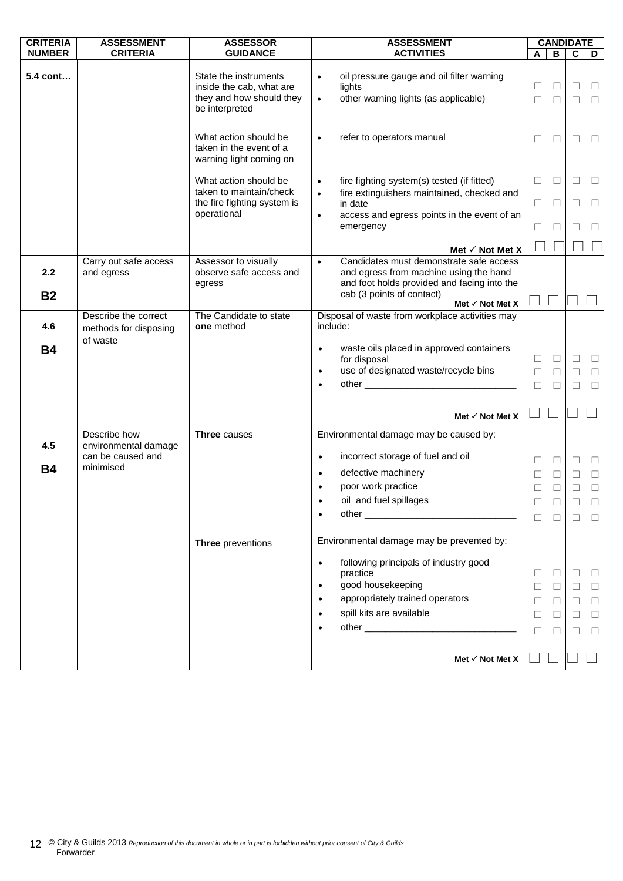| <b>CRITERIA</b>  | <b>ASSESSMENT</b>                    | <b>ASSESSOR</b>                                                                                 | <b>ASSESSMENT</b>                                                                                                                                                                                                                          |                       | <b>CANDIDATE</b>                          |                                 |                                           |
|------------------|--------------------------------------|-------------------------------------------------------------------------------------------------|--------------------------------------------------------------------------------------------------------------------------------------------------------------------------------------------------------------------------------------------|-----------------------|-------------------------------------------|---------------------------------|-------------------------------------------|
| <b>NUMBER</b>    | <b>CRITERIA</b>                      | <b>GUIDANCE</b>                                                                                 | <b>ACTIVITIES</b>                                                                                                                                                                                                                          | A                     | В                                         | C                               | D                                         |
| 5.4 cont         |                                      | State the instruments<br>inside the cab, what are<br>they and how should they<br>be interpreted | oil pressure gauge and oil filter warning<br>$\bullet$<br>lights<br>other warning lights (as applicable)<br>$\bullet$                                                                                                                      | □<br>□                | $\Box$<br>$\Box$                          | $\Box$<br>$\Box$                | $\Box$<br>$\Box$                          |
|                  |                                      | What action should be<br>taken in the event of a<br>warning light coming on                     | refer to operators manual                                                                                                                                                                                                                  | □                     | $\Box$                                    | □                               | $\Box$                                    |
|                  |                                      | What action should be<br>taken to maintain/check                                                | fire fighting system(s) tested (if fitted)<br>$\bullet$                                                                                                                                                                                    | $\Box$                | $\Box$                                    | □                               | $\Box$                                    |
|                  |                                      | the fire fighting system is<br>operational                                                      | fire extinguishers maintained, checked and<br>$\bullet$<br>in date                                                                                                                                                                         | $\Box$                | $\Box$                                    | □                               | □                                         |
|                  |                                      |                                                                                                 | access and egress points in the event of an<br>$\bullet$<br>emergency                                                                                                                                                                      | $\Box$                | $\Box$                                    | □                               | $\Box$                                    |
|                  |                                      |                                                                                                 | Met $\checkmark$ Not Met X                                                                                                                                                                                                                 |                       |                                           |                                 |                                           |
| 2.2<br><b>B2</b> | Carry out safe access<br>and egress  | Assessor to visually<br>observe safe access and<br>egress                                       | Candidates must demonstrate safe access<br>$\bullet$<br>and egress from machine using the hand<br>and foot holds provided and facing into the<br>cab (3 points of contact)                                                                 |                       |                                           |                                 |                                           |
|                  | Describe the correct                 | The Candidate to state                                                                          | Met $\checkmark$ Not Met X<br>Disposal of waste from workplace activities may                                                                                                                                                              |                       |                                           |                                 |                                           |
| 4.6              | methods for disposing<br>of waste    | one method                                                                                      | include:                                                                                                                                                                                                                                   |                       |                                           |                                 |                                           |
| <b>B4</b>        |                                      |                                                                                                 | waste oils placed in approved containers<br>$\bullet$<br>for disposal                                                                                                                                                                      | □                     | $\Box$                                    | $\Box$                          | $\Box$                                    |
|                  |                                      |                                                                                                 | use of designated waste/recycle bins<br>$\bullet$                                                                                                                                                                                          | $\Box$                | $\Box$                                    | $\Box$                          | $\Box$                                    |
|                  |                                      |                                                                                                 | other and the contract of the contract of the contract of the contract of the contract of the contract of the contract of the contract of the contract of the contract of the contract of the contract of the contract of the<br>$\bullet$ | □                     | $\Box$                                    | $\Box$                          | $\Box$                                    |
|                  |                                      |                                                                                                 | Met $\checkmark$ Not Met X                                                                                                                                                                                                                 |                       |                                           |                                 |                                           |
| 4.5              | Describe how<br>environmental damage | Three causes                                                                                    | Environmental damage may be caused by:                                                                                                                                                                                                     |                       |                                           |                                 |                                           |
|                  | can be caused and<br>minimised       |                                                                                                 | incorrect storage of fuel and oil<br>$\bullet$                                                                                                                                                                                             | ⊔                     | $\Box$                                    | $\Box$                          | ⊔                                         |
| <b>B4</b>        |                                      |                                                                                                 | defective machinery<br>$\bullet$                                                                                                                                                                                                           | $\Box$                | $\Box$                                    | $\Box$                          | $\Box$                                    |
|                  |                                      |                                                                                                 | poor work practice                                                                                                                                                                                                                         | $\Box$                | $\Box$                                    | □                               | $\Box$                                    |
|                  |                                      |                                                                                                 | oil and fuel spillages                                                                                                                                                                                                                     | $\mathbf{L}$          | П                                         | П                               | $\Box$                                    |
|                  |                                      |                                                                                                 | other experience and the contract of the contract of the contract of the contract of the contract of the contract of the contract of the contract of the contract of the contract of the contract of the contract of the contr             | ⊔                     |                                           | ⊔                               | ⊔                                         |
|                  |                                      | Three preventions                                                                               | Environmental damage may be prevented by:                                                                                                                                                                                                  |                       |                                           |                                 |                                           |
|                  |                                      |                                                                                                 | following principals of industry good<br>$\bullet$<br>practice<br>good housekeeping<br>$\bullet$<br>appropriately trained operators<br>$\bullet$<br>spill kits are available<br>$\bullet$                                                  | ⊔<br>□<br>□<br>⊔<br>П | $\Box$<br>$\Box$<br>$\Box$<br>$\Box$<br>П | □<br>$\Box$<br>$\Box$<br>□<br>⊔ | $\Box$<br>$\Box$<br>$\Box$<br>$\Box$<br>⊔ |
|                  |                                      |                                                                                                 | Met $\checkmark$ Not Met X                                                                                                                                                                                                                 |                       |                                           |                                 |                                           |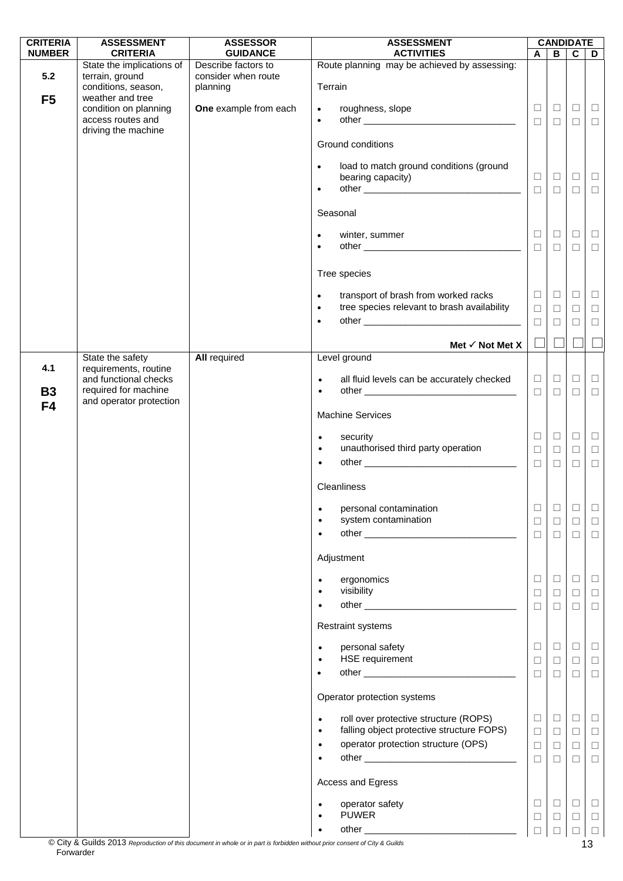| <b>CRITERIA</b>       | <b>ASSESSMENT</b>                                                        | <b>ASSESSOR</b>                        | <b>ASSESSMENT</b>                                                                                             |                            |                            | <b>CANDIDATE</b>           |                            |
|-----------------------|--------------------------------------------------------------------------|----------------------------------------|---------------------------------------------------------------------------------------------------------------|----------------------------|----------------------------|----------------------------|----------------------------|
| <b>NUMBER</b>         | <b>CRITERIA</b><br>State the implications of                             | <b>GUIDANCE</b><br>Describe factors to | <b>ACTIVITIES</b><br>Route planning may be achieved by assessing:                                             | A                          | $\overline{B}$             | $\overline{c}$             | D                          |
| 5.2<br>F <sub>5</sub> | terrain, ground<br>conditions, season,<br>weather and tree               | consider when route<br>planning        | Terrain                                                                                                       |                            |                            |                            |                            |
|                       | condition on planning<br>access routes and<br>driving the machine        | One example from each                  | roughness, slope<br>$\bullet$<br>$\bullet$                                                                    | $\Box$<br>$\Box$           | $\Box$<br>$\Box$           | $\Box$<br>$\Box$           | $\Box$<br>$\Box$           |
|                       |                                                                          |                                        | Ground conditions                                                                                             |                            |                            |                            |                            |
|                       |                                                                          |                                        | load to match ground conditions (ground<br>$\bullet$<br>bearing capacity)<br>$\bullet$                        | $\Box$<br>$\Box$           | $\Box$<br>$\Box$           | $\Box$<br>$\Box$           | $\Box$<br>$\Box$           |
|                       |                                                                          |                                        | Seasonal                                                                                                      |                            |                            |                            |                            |
|                       |                                                                          |                                        |                                                                                                               | $\Box$                     |                            | $\Box$                     |                            |
|                       |                                                                          |                                        | winter, summer<br>$\bullet$<br>$\bullet$                                                                      | $\Box$                     | $\Box$<br>$\Box$           | $\Box$                     | $\Box$<br>$\Box$           |
|                       |                                                                          |                                        | Tree species                                                                                                  |                            |                            |                            |                            |
|                       |                                                                          |                                        | transport of brash from worked racks<br>$\bullet$<br>tree species relevant to brash availability<br>$\bullet$ | $\Box$<br>$\Box$           | $\Box$<br>$\Box$           | $\Box$<br>$\Box$           | $\Box$<br>$\Box$           |
|                       |                                                                          |                                        | $\bullet$                                                                                                     | $\Box$                     | $\Box$                     | $\Box$                     | $\Box$                     |
|                       |                                                                          |                                        | Met $\checkmark$ Not Met X                                                                                    | $\Box$                     |                            |                            |                            |
| 4.1                   | State the safety<br>requirements, routine                                | <b>All required</b>                    | Level ground                                                                                                  |                            |                            |                            |                            |
| <b>B3</b>             | and functional checks<br>required for machine<br>and operator protection |                                        | all fluid levels can be accurately checked<br>$\bullet$<br>$\bullet$                                          | $\Box$<br>$\Box$           | $\Box$<br>$\Box$           | $\Box$<br>$\Box$           | $\Box$<br>$\Box$           |
| F <sub>4</sub>        |                                                                          |                                        | <b>Machine Services</b>                                                                                       |                            |                            |                            |                            |
|                       |                                                                          |                                        | security<br>$\bullet$<br>unauthorised third party operation<br>$\bullet$                                      | $\Box$<br>$\Box$<br>$\Box$ | $\Box$<br>$\Box$<br>$\Box$ | $\Box$<br>$\Box$<br>$\Box$ | $\Box$<br>$\Box$<br>$\Box$ |
|                       |                                                                          |                                        | Cleanliness                                                                                                   |                            |                            |                            |                            |
|                       |                                                                          |                                        | personal contamination<br>system contamination                                                                | ⊔<br>$\Box$                | $\Box$<br>$\Box$<br>$\Box$ | Ц<br>$\Box$<br>$\Box$      | $\Box$<br>$\Box$<br>$\Box$ |
|                       |                                                                          |                                        | Adjustment                                                                                                    |                            |                            |                            |                            |
|                       |                                                                          |                                        | ergonomics<br>visibility<br>$\bullet$                                                                         | □<br>$\Box$                | $\Box$<br>$\Box$           | $\Box$<br>$\Box$           | $\Box$<br>$\Box$           |
|                       |                                                                          |                                        |                                                                                                               | □                          | $\Box$                     | $\Box$                     | $\Box$                     |
|                       |                                                                          |                                        | <b>Restraint systems</b>                                                                                      |                            |                            |                            |                            |
|                       |                                                                          |                                        | personal safety<br>$\bullet$                                                                                  | $\Box$                     | $\Box$                     | $\Box$                     | $\Box$                     |
|                       |                                                                          |                                        | <b>HSE</b> requirement<br>$\bullet$                                                                           | $\Box$<br>$\Box$           | $\Box$<br>$\Box$           | $\Box$<br>$\Box$           | $\Box$<br>$\Box$           |
|                       |                                                                          |                                        | Operator protection systems                                                                                   |                            |                            |                            |                            |
|                       |                                                                          |                                        | roll over protective structure (ROPS)<br>$\bullet$                                                            | $\Box$                     | $\Box$                     | $\Box$                     | $\Box$                     |
|                       |                                                                          |                                        | falling object protective structure FOPS)<br>$\bullet$<br>operator protection structure (OPS)<br>$\bullet$    | $\Box$<br>$\Box$           | $\Box$<br>$\Box$           | $\Box$<br>$\Box$           | $\Box$<br>$\Box$           |
|                       |                                                                          |                                        | $\bullet$                                                                                                     | $\Box$                     | $\Box$                     | □                          | $\Box$                     |
|                       |                                                                          |                                        | Access and Egress                                                                                             |                            |                            |                            |                            |
|                       |                                                                          |                                        | operator safety<br>$\bullet$<br><b>PUWER</b><br>$\bullet$                                                     | □<br>□                     | $\Box$<br>⊔                | $\Box$<br>$\Box$           | $\Box$<br>ш                |
|                       |                                                                          |                                        | $\bullet$                                                                                                     |                            |                            |                            |                            |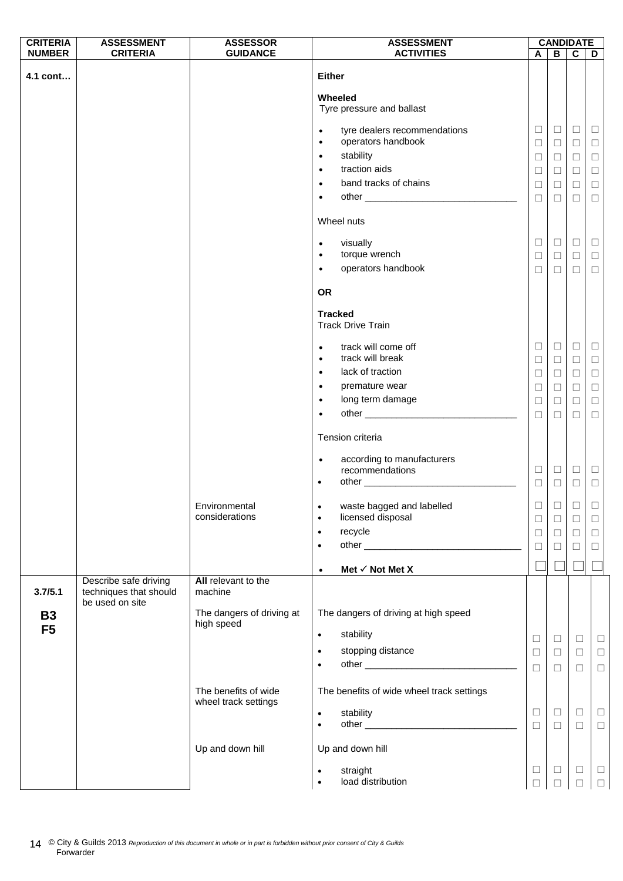| <b>CRITERIA</b>             | <b>ASSESSMENT</b>                                                  | <b>ASSESSOR</b>                              | <b>ASSESSMENT</b>                                                                                                                                                                                                    |                                                |                                                | <b>CANDIDATE</b>                               |                                                |
|-----------------------------|--------------------------------------------------------------------|----------------------------------------------|----------------------------------------------------------------------------------------------------------------------------------------------------------------------------------------------------------------------|------------------------------------------------|------------------------------------------------|------------------------------------------------|------------------------------------------------|
| <b>NUMBER</b>               | <b>CRITERIA</b>                                                    | <b>GUIDANCE</b>                              | <b>ACTIVITIES</b>                                                                                                                                                                                                    | A                                              | B                                              | $\overline{c}$                                 | D                                              |
| 4.1 cont                    |                                                                    |                                              | <b>Either</b><br>Wheeled                                                                                                                                                                                             |                                                |                                                |                                                |                                                |
|                             |                                                                    |                                              | Tyre pressure and ballast<br>tyre dealers recommendations<br>$\bullet$<br>operators handbook<br>$\bullet$<br>stability<br>$\bullet$<br>traction aids<br>$\bullet$<br>band tracks of chains<br>$\bullet$<br>$\bullet$ | $\Box$<br>$\Box$<br>$\Box$<br>$\Box$<br>$\Box$ | $\Box$<br>$\Box$<br>$\Box$<br>$\Box$<br>$\Box$ | $\Box$<br>$\Box$<br>$\Box$<br>$\Box$<br>$\Box$ | $\Box$<br>$\Box$<br>$\Box$<br>$\Box$<br>$\Box$ |
|                             |                                                                    |                                              | Wheel nuts                                                                                                                                                                                                           | $\Box$                                         | $\Box$                                         | $\Box$                                         | $\Box$                                         |
|                             |                                                                    |                                              | visually<br>$\bullet$<br>torque wrench<br>$\bullet$<br>operators handbook<br>$\bullet$                                                                                                                               | $\Box$<br>$\Box$<br>□                          | $\Box$<br>$\Box$<br>□                          | $\Box$<br>$\Box$<br>□                          | $\Box$<br>$\Box$<br>$\Box$                     |
|                             |                                                                    |                                              | <b>OR</b><br><b>Tracked</b><br><b>Track Drive Train</b>                                                                                                                                                              |                                                |                                                |                                                |                                                |
|                             |                                                                    |                                              | track will come off<br>$\bullet$<br>track will break<br>$\bullet$<br>lack of traction<br>$\bullet$<br>premature wear<br>$\bullet$<br>long term damage<br>$\bullet$                                                   | $\Box$<br>$\Box$<br>$\Box$<br>$\Box$<br>$\Box$ | $\Box$<br>$\Box$<br>$\Box$<br>$\Box$<br>$\Box$ | $\Box$<br>$\Box$<br>$\Box$<br>$\Box$<br>□      | $\Box$<br>$\Box$<br>$\Box$<br>$\Box$<br>$\Box$ |
|                             |                                                                    |                                              | $\bullet$<br>Tension criteria<br>according to manufacturers<br>$\bullet$                                                                                                                                             | $\Box$                                         | $\Box$                                         | □                                              | $\Box$                                         |
|                             |                                                                    |                                              | recommendations                                                                                                                                                                                                      | $\Box$<br>$\Box$                               | $\Box$<br>$\Box$                               | $\Box$<br>$\Box$                               | $\Box$<br>$\Box$                               |
|                             |                                                                    | Environmental<br>considerations              | waste bagged and labelled<br>licensed disposal<br>$\bullet$<br>recycle<br>$\bullet$<br>$\bullet$<br>Met $\checkmark$ Not Met X<br>$\bullet$                                                                          | $\Box$<br>$\Box$<br>$\Box$                     | $\Box   \Box$<br>$\Box$<br>$\Box$<br>$\Box$    | $\Box$<br>$\Box$<br>$\Box$<br>$\Box$           | $\Box$<br>$\Box$<br>$\Box$<br>$\Box$           |
| 3.7/5.1                     | Describe safe driving<br>techniques that should<br>be used on site | All relevant to the<br>machine               |                                                                                                                                                                                                                      |                                                |                                                |                                                |                                                |
| <b>B3</b><br>F <sub>5</sub> |                                                                    | The dangers of driving at<br>high speed      | The dangers of driving at high speed<br>stability<br>$\bullet$<br>stopping distance<br>$\bullet$<br>$\bullet$                                                                                                        | $\Box$<br>$\Box$<br>$\Box$                     | $\Box$<br>$\Box$<br>$\Box$                     | $\Box$<br>$\Box$<br>$\Box$                     | $\Box$<br>$\Box$<br>$\Box$                     |
|                             |                                                                    | The benefits of wide<br>wheel track settings | The benefits of wide wheel track settings<br>stability<br>$\bullet$<br>$\bullet$                                                                                                                                     | $\Box$<br>$\Box$                               | $\Box$<br>$\Box$                               | $\Box$<br>$\Box$                               | $\Box$<br>$\Box$                               |
|                             |                                                                    | Up and down hill                             | Up and down hill<br>straight<br>load distribution                                                                                                                                                                    | $\Box$<br>$\Box$                               | $\Box$<br>$\Box$                               | $\Box$<br>$\Box$                               | $\Box$<br>$\Box$                               |
|                             |                                                                    |                                              |                                                                                                                                                                                                                      |                                                |                                                |                                                |                                                |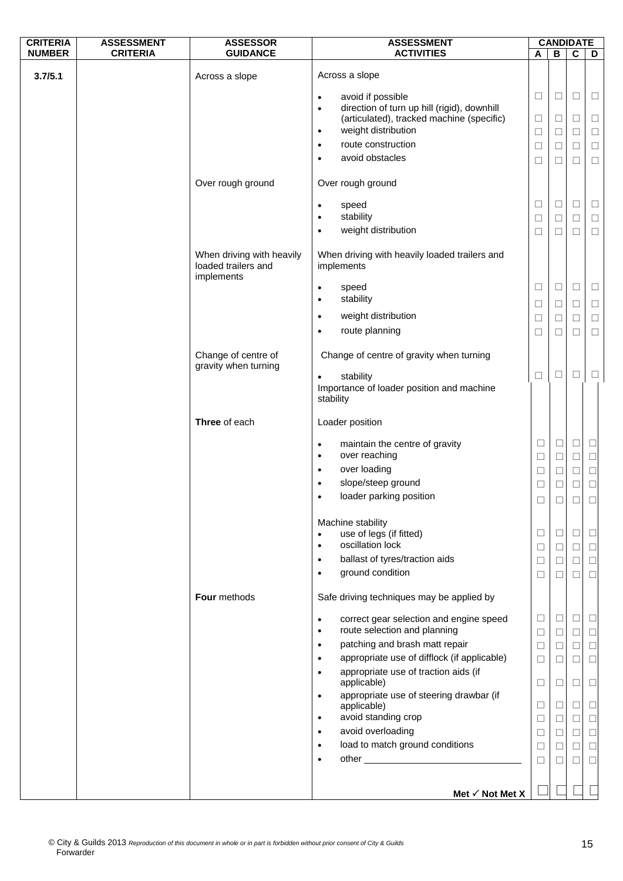| <b>CRITERIA</b> | <b>ASSESSMENT</b> | <b>ASSESSOR</b>                                                | <b>ASSESSMENT</b>                                                                                     | <b>CANDIDATE</b> |                  |                  |                  |
|-----------------|-------------------|----------------------------------------------------------------|-------------------------------------------------------------------------------------------------------|------------------|------------------|------------------|------------------|
| <b>NUMBER</b>   | <b>CRITERIA</b>   | <b>GUIDANCE</b>                                                | <b>ACTIVITIES</b>                                                                                     | A                | B                | $\mathbf c$      | D                |
| 3.7/5.1         |                   | Across a slope                                                 | Across a slope                                                                                        |                  |                  |                  |                  |
|                 |                   |                                                                | avoid if possible<br>$\bullet$                                                                        | $\Box$           | $\Box$           | $\Box$           | $\Box$           |
|                 |                   |                                                                | direction of turn up hill (rigid), downhill<br>$\bullet$<br>(articulated), tracked machine (specific) | $\Box$           | $\Box$           | $\Box$           | $\Box$           |
|                 |                   |                                                                | weight distribution<br>$\bullet$                                                                      | $\Box$           | □                | $\Box$           | $\Box$           |
|                 |                   |                                                                | route construction<br>$\bullet$                                                                       | $\Box$           | $\Box$           | $\Box$           | $\Box$           |
|                 |                   |                                                                | avoid obstacles<br>$\bullet$                                                                          | $\Box$           | $\Box$           | $\Box$           | $\Box$           |
|                 |                   | Over rough ground                                              | Over rough ground                                                                                     |                  |                  |                  |                  |
|                 |                   |                                                                | speed<br>٠                                                                                            | $\Box$           | $\Box$           | $\Box$           | Ц                |
|                 |                   |                                                                | stability                                                                                             | $\Box$           | $\Box$           | $\Box$           | $\Box$           |
|                 |                   |                                                                | weight distribution<br>٠                                                                              | $\Box$           | □                | $\Box$           | □                |
|                 |                   | When driving with heavily<br>loaded trailers and<br>implements | When driving with heavily loaded trailers and<br>implements                                           |                  |                  |                  |                  |
|                 |                   |                                                                | speed<br>٠<br>stability<br>$\bullet$                                                                  | □                | □                | $\Box$           | ⊔                |
|                 |                   |                                                                | weight distribution<br>$\bullet$                                                                      | $\Box$           | □                | $\Box$           | $\Box$           |
|                 |                   |                                                                | route planning<br>٠                                                                                   | □<br>$\Box$      | Ш<br>□           | $\Box$<br>$\Box$ | □<br>$\Box$      |
|                 |                   | Change of centre of                                            | Change of centre of gravity when turning                                                              |                  |                  |                  |                  |
|                 |                   | gravity when turning                                           | stability<br>$\bullet$                                                                                | $\Box$           | □                | $\Box$           | ⊔                |
|                 |                   |                                                                | Importance of loader position and machine<br>stability                                                |                  |                  |                  |                  |
|                 |                   | Three of each                                                  | Loader position                                                                                       |                  |                  |                  |                  |
|                 |                   |                                                                | maintain the centre of gravity<br>$\bullet$<br>over reaching<br>٠                                     | $\Box$<br>$\Box$ | $\Box$<br>$\Box$ | $\Box$<br>$\Box$ | $\Box$<br>$\Box$ |
|                 |                   |                                                                | over loading<br>$\bullet$                                                                             | $\Box$           | $\Box$           | $\Box$           | $\Box$           |
|                 |                   |                                                                | slope/steep ground<br>$\bullet$                                                                       | $\Box$           | $\Box$           | $\Box$           | $\Box$           |
|                 |                   |                                                                | loader parking position                                                                               | □                | Ш                |                  | □                |
|                 |                   |                                                                | Machine stability                                                                                     |                  |                  |                  |                  |
|                 |                   |                                                                | use of legs (if fitted)<br>$\bullet$                                                                  | $\Box$           | □                | $\Box$           | $\Box$           |
|                 |                   |                                                                | oscillation lock<br>$\bullet$                                                                         | $\Box$           | $\Box$           | $\Box$           | $\Box$           |
|                 |                   |                                                                | ballast of tyres/traction aids<br>$\bullet$<br>ground condition<br>$\bullet$                          | $\Box$<br>□      | $\Box$<br>$\Box$ | $\Box$<br>□      | $\Box$<br>$\Box$ |
|                 |                   |                                                                |                                                                                                       |                  |                  |                  |                  |
|                 |                   | Four methods                                                   | Safe driving techniques may be applied by                                                             |                  |                  |                  |                  |
|                 |                   |                                                                | correct gear selection and engine speed<br>$\bullet$<br>route selection and planning                  | $\Box$           | $\Box$           | $\Box$           | $\Box$           |
|                 |                   |                                                                | $\bullet$<br>patching and brash matt repair<br>$\bullet$                                              | $\Box$<br>$\Box$ | $\Box$<br>$\Box$ | □<br>$\Box$      | □<br>$\Box$      |
|                 |                   |                                                                | appropriate use of difflock (if applicable)<br>$\bullet$                                              | $\Box$           | $\Box$           | П                | □                |
|                 |                   |                                                                | appropriate use of traction aids (if<br>$\bullet$                                                     |                  |                  |                  |                  |
|                 |                   |                                                                | applicable)                                                                                           | $\Box$           | $\Box$           | □                | □                |
|                 |                   |                                                                | appropriate use of steering drawbar (if<br>$\bullet$<br>applicable)                                   | $\Box$           | $\Box$           | $\Box$           | $\Box$           |
|                 |                   |                                                                | avoid standing crop<br>$\bullet$                                                                      | $\Box$           | $\Box$           | $\Box$           | $\Box$           |
|                 |                   |                                                                | avoid overloading<br>$\bullet$                                                                        | $\Box$           | $\Box$           | $\Box$           | $\Box$           |
|                 |                   |                                                                | load to match ground conditions<br>$\bullet$                                                          | $\Box$           | $\Box$           | $\Box$           | $\Box$           |
|                 |                   |                                                                | $\bullet$                                                                                             | $\Box$           | $\Box$           | □                | $\Box$           |
|                 |                   |                                                                |                                                                                                       |                  |                  |                  |                  |
|                 |                   |                                                                | Met √ Not Met X                                                                                       |                  |                  |                  |                  |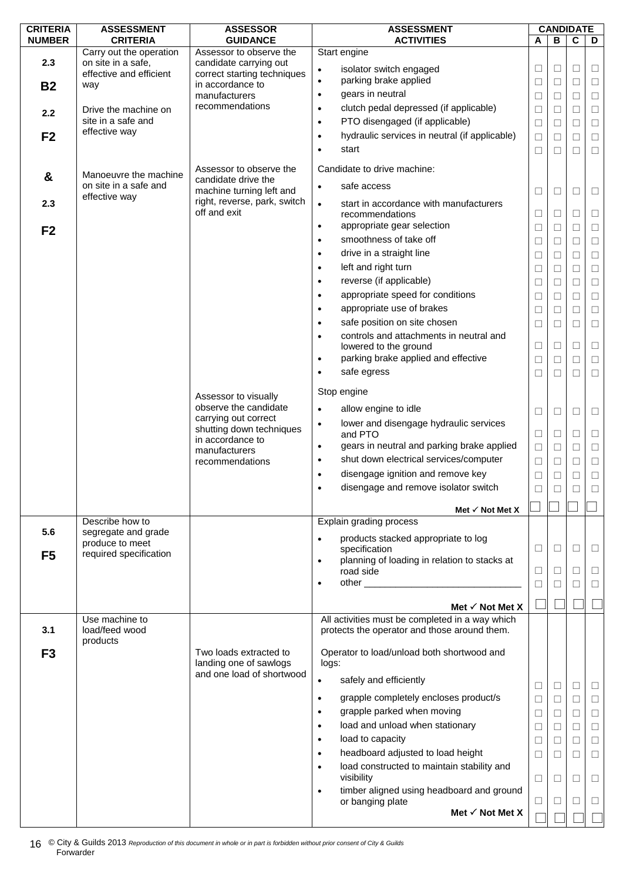| <b>CRITERIA</b> | <b>ASSESSMENT</b>                             | <b>ASSESSOR</b>                                   | <b>ASSESSMENT</b>                                                 |        | <b>CANDIDATE</b> |             |        |
|-----------------|-----------------------------------------------|---------------------------------------------------|-------------------------------------------------------------------|--------|------------------|-------------|--------|
| <b>NUMBER</b>   | <b>CRITERIA</b>                               | <b>GUIDANCE</b>                                   | <b>ACTIVITIES</b>                                                 | A      | B                | $\mathbf c$ | D      |
| 2.3             | Carry out the operation<br>on site in a safe, | Assessor to observe the<br>candidate carrying out | Start engine                                                      |        |                  |             |        |
|                 | effective and efficient                       | correct starting techniques                       | isolator switch engaged<br>$\bullet$                              | $\Box$ | $\Box$           | □           | $\Box$ |
| <b>B2</b>       | way                                           | in accordance to                                  | parking brake applied<br>$\bullet$                                | □      | □                | □           | $\Box$ |
|                 |                                               | manufacturers                                     | gears in neutral<br>$\bullet$                                     | $\Box$ | □                | $\Box$      | $\Box$ |
| 2.2             | Drive the machine on                          | recommendations                                   | clutch pedal depressed (if applicable)<br>$\bullet$               | $\Box$ | □                | $\Box$      | $\Box$ |
|                 | site in a safe and                            |                                                   | PTO disengaged (if applicable)<br>$\bullet$                       | □      | □                | □           | $\Box$ |
| F <sub>2</sub>  | effective way                                 |                                                   | hydraulic services in neutral (if applicable)<br>$\bullet$        | $\Box$ | $\Box$           | □           | $\Box$ |
|                 |                                               |                                                   | start<br>$\bullet$                                                | $\Box$ | П                | П           | $\Box$ |
|                 |                                               |                                                   |                                                                   |        |                  |             |        |
| &               | Manoeuvre the machine                         | Assessor to observe the                           | Candidate to drive machine:                                       |        |                  |             |        |
|                 | on site in a safe and                         | candidate drive the<br>machine turning left and   | safe access<br>$\bullet$                                          | □      | $\Box$           | □           | □      |
| 2.3             | effective way                                 | right, reverse, park, switch                      | start in accordance with manufacturers<br>$\bullet$               |        |                  |             |        |
|                 |                                               | off and exit                                      | recommendations                                                   | $\Box$ | □                | □           | $\Box$ |
|                 |                                               |                                                   | appropriate gear selection<br>$\bullet$                           | □      | □                | □           | $\Box$ |
| F <sub>2</sub>  |                                               |                                                   | smoothness of take off<br>$\bullet$                               | $\Box$ | $\Box$           | □           | $\Box$ |
|                 |                                               |                                                   | drive in a straight line<br>$\bullet$                             |        |                  | □           | $\Box$ |
|                 |                                               |                                                   | left and right turn<br>$\bullet$                                  | Ш      | □                |             |        |
|                 |                                               |                                                   |                                                                   | $\Box$ | $\Box$           | □           | $\Box$ |
|                 |                                               |                                                   | reverse (if applicable)<br>$\bullet$                              | $\Box$ | □                | □           | $\Box$ |
|                 |                                               |                                                   | appropriate speed for conditions<br>$\bullet$                     | □      | П                | □           | $\Box$ |
|                 |                                               |                                                   | appropriate use of brakes<br>$\bullet$                            | $\Box$ | $\Box$           | $\Box$      | $\Box$ |
|                 |                                               |                                                   | safe position on site chosen<br>$\bullet$                         | $\Box$ | □                | П           | $\Box$ |
|                 |                                               |                                                   | controls and attachments in neutral and<br>$\bullet$              |        |                  |             |        |
|                 |                                               |                                                   | lowered to the ground                                             | □      | П                | □           | $\Box$ |
|                 |                                               |                                                   | parking brake applied and effective<br>$\bullet$                  | $\Box$ | $\Box$           | □           | $\Box$ |
|                 |                                               |                                                   | safe egress<br>$\bullet$                                          | □      | □                | $\Box$      | $\Box$ |
|                 |                                               |                                                   | Stop engine                                                       |        |                  |             |        |
|                 |                                               | Assessor to visually<br>observe the candidate     |                                                                   |        |                  |             |        |
|                 |                                               | carrying out correct                              | allow engine to idle<br>$\bullet$                                 | □      | □                | П           | $\Box$ |
|                 |                                               | shutting down techniques                          | lower and disengage hydraulic services<br>$\bullet$<br>and PTO    |        | П                | □           | $\Box$ |
|                 |                                               | in accordance to                                  | gears in neutral and parking brake applied                        | □      |                  |             |        |
|                 |                                               | manufacturers                                     | $\bullet$<br>shut down electrical services/computer               | $\Box$ | □                | $\Box$      | $\Box$ |
|                 |                                               | recommendations                                   | $\bullet$                                                         | $\Box$ | $\Box$           | $\Box$      | $\Box$ |
|                 |                                               |                                                   | disengage ignition and remove key                                 | $\Box$ | □                | □           | $\Box$ |
|                 |                                               |                                                   | disengage and remove isolator switch                              | □      | $\Box$           |             |        |
|                 |                                               |                                                   | Met $\checkmark$ Not Met X                                        |        |                  |             |        |
|                 | Describe how to                               |                                                   | Explain grading process                                           |        |                  |             |        |
| 5.6             | segregate and grade                           |                                                   |                                                                   |        |                  |             |        |
|                 | produce to meet                               |                                                   | products stacked appropriate to log<br>$\bullet$<br>specification | $\Box$ | $\Box$           | $\Box$      | $\Box$ |
| F <sub>5</sub>  | required specification                        |                                                   | planning of loading in relation to stacks at<br>$\bullet$         |        |                  |             |        |
|                 |                                               |                                                   | road side                                                         | $\Box$ | □                | $\Box$      | $\Box$ |
|                 |                                               |                                                   | $\bullet$                                                         | □      | П                | □           | $\Box$ |
|                 |                                               |                                                   |                                                                   |        |                  |             |        |
|                 |                                               |                                                   | Met $\checkmark$ Not Met X                                        |        |                  |             |        |
|                 | Use machine to                                |                                                   | All activities must be completed in a way which                   |        |                  |             |        |
| 3.1             | load/feed wood                                |                                                   | protects the operator and those around them.                      |        |                  |             |        |
|                 | products                                      | Two loads extracted to                            | Operator to load/unload both shortwood and                        |        |                  |             |        |
| F <sub>3</sub>  |                                               | landing one of sawlogs                            | logs:                                                             |        |                  |             |        |
|                 |                                               | and one load of shortwood                         |                                                                   |        |                  |             |        |
|                 |                                               |                                                   | safely and efficiently<br>$\bullet$                               | $\Box$ | $\Box$           | $\Box$      | □      |
|                 |                                               |                                                   | grapple completely encloses product/s<br>$\bullet$                | $\Box$ | $\Box$           | $\Box$      | $\Box$ |
|                 |                                               |                                                   | grapple parked when moving<br>$\bullet$                           | □      | □                | $\Box$      | $\Box$ |
|                 |                                               |                                                   | load and unload when stationary<br>$\bullet$                      | $\Box$ | □                | $\Box$      | $\Box$ |
|                 |                                               |                                                   | load to capacity<br>$\bullet$                                     | $\Box$ | □                | $\Box$      | $\Box$ |
|                 |                                               |                                                   | headboard adjusted to load height<br>$\bullet$                    | $\Box$ | □                | $\Box$      | $\Box$ |
|                 |                                               |                                                   | load constructed to maintain stability and                        |        |                  |             |        |
|                 |                                               |                                                   | visibility                                                        | $\Box$ | □                | $\Box$      | $\Box$ |
|                 |                                               |                                                   | timber aligned using headboard and ground<br>$\bullet$            |        |                  |             |        |
|                 |                                               |                                                   | or banging plate                                                  | □      | П                | □           | □      |
|                 |                                               |                                                   | Met $\checkmark$ Not Met X                                        |        |                  |             |        |
|                 |                                               |                                                   |                                                                   |        |                  |             |        |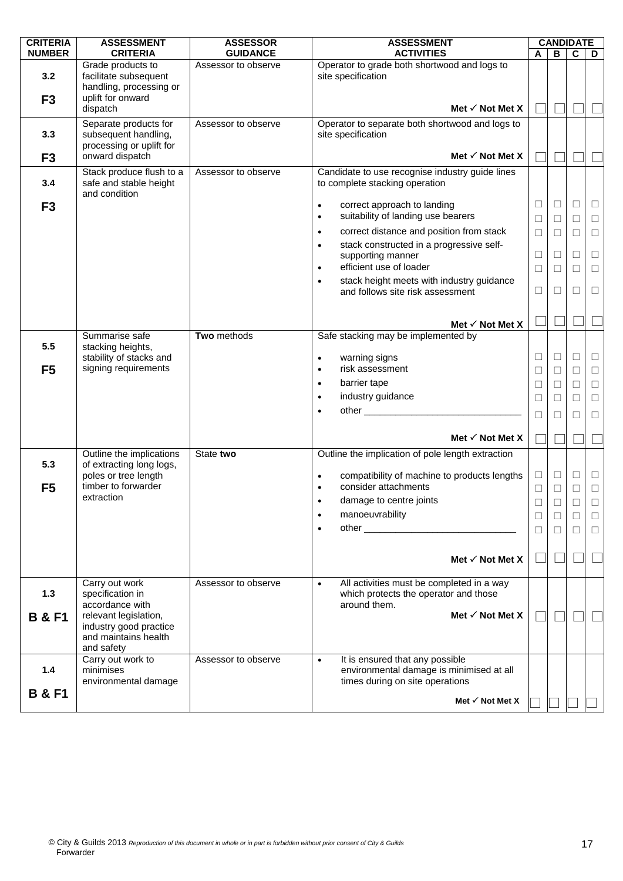| <b>CRITERIA</b>       | <b>ASSESSMENT</b>                                                                     | <b>ASSESSOR</b>     | <b>ASSESSMENT</b>                                                                                                           |                  | <b>CANDIDATE</b> |                  |                  |
|-----------------------|---------------------------------------------------------------------------------------|---------------------|-----------------------------------------------------------------------------------------------------------------------------|------------------|------------------|------------------|------------------|
| <b>NUMBER</b>         | <b>CRITERIA</b>                                                                       | <b>GUIDANCE</b>     | <b>ACTIVITIES</b>                                                                                                           | A                | в                | C                | D                |
| 3.2                   | Grade products to<br>facilitate subsequent<br>handling, processing or                 | Assessor to observe | Operator to grade both shortwood and logs to<br>site specification                                                          |                  |                  |                  |                  |
| F <sub>3</sub>        | uplift for onward<br>dispatch                                                         |                     | Met $\checkmark$ Not Met X                                                                                                  |                  |                  |                  |                  |
| 3.3                   | Separate products for<br>subsequent handling,<br>processing or uplift for             | Assessor to observe | Operator to separate both shortwood and logs to<br>site specification                                                       |                  |                  |                  |                  |
| F <sub>3</sub>        | onward dispatch                                                                       |                     | Met $\checkmark$ Not Met X                                                                                                  |                  |                  |                  |                  |
| 3.4                   | Stack produce flush to a<br>safe and stable height<br>and condition                   | Assessor to observe | Candidate to use recognise industry guide lines<br>to complete stacking operation                                           |                  |                  |                  |                  |
| F <sub>3</sub>        |                                                                                       |                     | correct approach to landing<br>$\bullet$<br>suitability of landing use bearers<br>$\bullet$                                 | □<br>$\Box$      | $\Box$<br>$\Box$ | □<br>$\Box$      | □<br>$\Box$      |
|                       |                                                                                       |                     | correct distance and position from stack<br>$\bullet$                                                                       | $\Box$           | П                | П                | $\Box$           |
|                       |                                                                                       |                     | stack constructed in a progressive self-<br>$\bullet$<br>supporting manner<br>efficient use of loader<br>$\bullet$          | $\Box$<br>$\Box$ | $\Box$<br>П      | □<br>П           | $\Box$<br>$\Box$ |
|                       |                                                                                       |                     | stack height meets with industry guidance<br>$\bullet$<br>and follows site risk assessment                                  | $\Box$           | □                | □                | $\Box$           |
|                       |                                                                                       |                     | Met $\checkmark$ Not Met X                                                                                                  |                  |                  |                  |                  |
|                       | Summarise safe                                                                        | Two methods         | Safe stacking may be implemented by                                                                                         |                  |                  |                  |                  |
| 5.5                   | stacking heights,                                                                     |                     |                                                                                                                             |                  |                  |                  |                  |
| F <sub>5</sub>        | stability of stacks and<br>signing requirements                                       |                     | warning signs<br>$\bullet$<br>risk assessment<br>$\bullet$                                                                  | $\Box$<br>$\Box$ | $\Box$<br>□      | $\Box$<br>□      | $\Box$<br>□      |
|                       |                                                                                       |                     | barrier tape<br>$\bullet$                                                                                                   | $\Box$           | $\Box$           | $\Box$           | $\Box$           |
|                       |                                                                                       |                     | industry guidance<br>$\bullet$                                                                                              | $\Box$           | □                | $\Box$           | $\Box$           |
|                       |                                                                                       |                     | other <u>superiors</u><br>$\bullet$                                                                                         |                  |                  |                  |                  |
|                       |                                                                                       |                     |                                                                                                                             | □                |                  | П                | □                |
|                       |                                                                                       |                     | Met $\checkmark$ Not Met X                                                                                                  |                  |                  |                  |                  |
|                       | Outline the implications                                                              | State two           | Outline the implication of pole length extraction                                                                           |                  |                  |                  |                  |
| 5.3<br>F <sub>5</sub> | of extracting long logs,<br>poles or tree length<br>timber to forwarder               |                     | compatibility of machine to products lengths<br>$\bullet$<br>consider attachments                                           | $\Box$<br>$\Box$ | $\Box$<br>□      | $\Box$<br>$\Box$ | $\Box$<br>$\Box$ |
|                       | extraction                                                                            |                     | damage to centre joints                                                                                                     | $\Box$           | $\Box$           |                  | П                |
|                       |                                                                                       |                     | manoeuvrability<br>$\bullet$                                                                                                | $\Box$           | □                | $\Box$           | $\Box$           |
|                       |                                                                                       |                     | $\bullet$                                                                                                                   | $\Box$           | ⊔                | $\Box$           | $\Box$           |
|                       |                                                                                       |                     |                                                                                                                             |                  |                  |                  |                  |
|                       |                                                                                       |                     | Met $\checkmark$ Not Met X                                                                                                  |                  |                  |                  |                  |
| 1.3                   | Carry out work<br>specification in<br>accordance with                                 | Assessor to observe | All activities must be completed in a way<br>$\bullet$<br>which protects the operator and those<br>around them.             |                  |                  |                  |                  |
| <b>B &amp; F1</b>     | relevant legislation,<br>industry good practice<br>and maintains health<br>and safety |                     | Met $\checkmark$ Not Met X                                                                                                  |                  |                  |                  |                  |
| 1.4                   | Carry out work to<br>minimises<br>environmental damage                                | Assessor to observe | It is ensured that any possible<br>$\bullet$<br>environmental damage is minimised at all<br>times during on site operations |                  |                  |                  |                  |
| <b>B &amp; F1</b>     |                                                                                       |                     | Met $\checkmark$ Not Met X                                                                                                  |                  |                  |                  |                  |